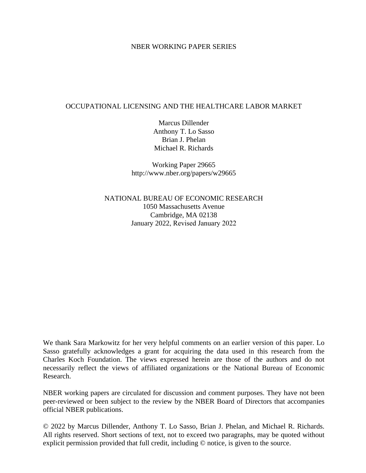#### NBER WORKING PAPER SERIES

#### OCCUPATIONAL LICENSING AND THE HEALTHCARE LABOR MARKET

Marcus Dillender Anthony T. Lo Sasso Brian J. Phelan Michael R. Richards

Working Paper 29665 http://www.nber.org/papers/w29665

NATIONAL BUREAU OF ECONOMIC RESEARCH 1050 Massachusetts Avenue Cambridge, MA 02138 January 2022, Revised January 2022

We thank Sara Markowitz for her very helpful comments on an earlier version of this paper. Lo Sasso gratefully acknowledges a grant for acquiring the data used in this research from the Charles Koch Foundation. The views expressed herein are those of the authors and do not necessarily reflect the views of affiliated organizations or the National Bureau of Economic Research.

NBER working papers are circulated for discussion and comment purposes. They have not been peer-reviewed or been subject to the review by the NBER Board of Directors that accompanies official NBER publications.

© 2022 by Marcus Dillender, Anthony T. Lo Sasso, Brian J. Phelan, and Michael R. Richards. All rights reserved. Short sections of text, not to exceed two paragraphs, may be quoted without explicit permission provided that full credit, including © notice, is given to the source.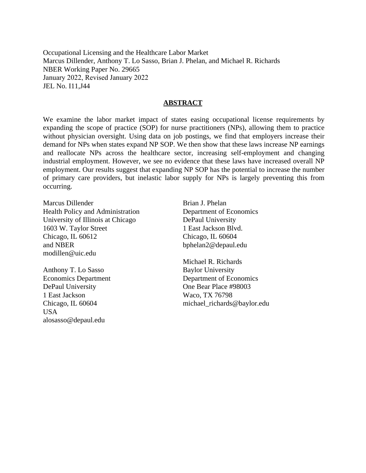Occupational Licensing and the Healthcare Labor Market Marcus Dillender, Anthony T. Lo Sasso, Brian J. Phelan, and Michael R. Richards NBER Working Paper No. 29665 January 2022, Revised January 2022 JEL No. I11,J44

#### **ABSTRACT**

We examine the labor market impact of states easing occupational license requirements by expanding the scope of practice (SOP) for nurse practitioners (NPs), allowing them to practice without physician oversight. Using data on job postings, we find that employers increase their demand for NPs when states expand NP SOP. We then show that these laws increase NP earnings and reallocate NPs across the healthcare sector, increasing self-employment and changing industrial employment. However, we see no evidence that these laws have increased overall NP employment. Our results suggest that expanding NP SOP has the potential to increase the number of primary care providers, but inelastic labor supply for NPs is largely preventing this from occurring.

Marcus Dillender Health Policy and Administration University of Illinois at Chicago 1603 W. Taylor Street Chicago, IL 60612 and NBER modillen@uic.edu

Anthony T. Lo Sasso Economics Department DePaul University 1 East Jackson Chicago, IL 60604 USA alosasso@depaul.edu

Brian J. Phelan Department of Economics DePaul University 1 East Jackson Blvd. Chicago, IL 60604 bphelan2@depaul.edu

Michael R. Richards Baylor University Department of Economics One Bear Place #98003 Waco, TX 76798 michael\_richards@baylor.edu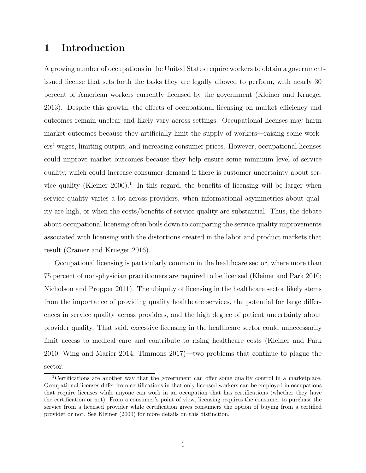## 1 Introduction

A growing number of occupations in the United States require workers to obtain a governmentissued license that sets forth the tasks they are legally allowed to perform, with nearly 30 percent of American workers currently licensed by the government (Kleiner and Krueger 2013). Despite this growth, the effects of occupational licensing on market efficiency and outcomes remain unclear and likely vary across settings. Occupational licenses may harm market outcomes because they artificially limit the supply of workers—raising some workers' wages, limiting output, and increasing consumer prices. However, occupational licenses could improve market outcomes because they help ensure some minimum level of service quality, which could increase consumer demand if there is customer uncertainty about service quality (Kleiner 2000).<sup>1</sup> In this regard, the benefits of licensing will be larger when service quality varies a lot across providers, when informational asymmetries about quality are high, or when the costs/benefits of service quality are substantial. Thus, the debate about occupational licensing often boils down to comparing the service quality improvements associated with licensing with the distortions created in the labor and product markets that result (Cramer and Krueger 2016).

Occupational licensing is particularly common in the healthcare sector, where more than 75 percent of non-physician practitioners are required to be licensed (Kleiner and Park 2010; Nicholson and Propper 2011). The ubiquity of licensing in the healthcare sector likely stems from the importance of providing quality healthcare services, the potential for large differences in service quality across providers, and the high degree of patient uncertainty about provider quality. That said, excessive licensing in the healthcare sector could unnecessarily limit access to medical care and contribute to rising healthcare costs (Kleiner and Park 2010; Wing and Marier 2014; Timmons 2017)—two problems that continue to plague the sector.

<sup>1</sup>Certifications are another way that the government can offer some quality control in a marketplace. Occupational licenses differ from certifications in that only licensed workers can be employed in occupations that require licenses while anyone can work in an occupation that has certifications (whether they have the certification or not). From a consumer's point of view, licensing requires the consumer to purchase the service from a licensed provider while certification gives consumers the option of buying from a certified provider or not. See Kleiner (2000) for more details on this distinction.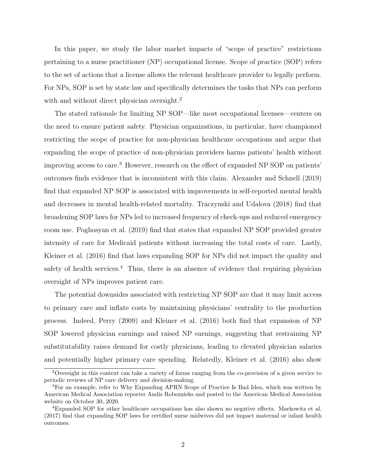In this paper, we study the labor market impacts of "scope of practice" restrictions pertaining to a nurse practitioner (NP) occupational license. Scope of practice (SOP) refers to the set of actions that a license allows the relevant healthcare provider to legally perform. For NPs, SOP is set by state law and specifically determines the tasks that NPs can perform with and without direct physician oversight.<sup>2</sup>

The stated rationale for limiting NP SOP—like most occupational licenses—centers on the need to ensure patient safety. Physician organizations, in particular, have championed restricting the scope of practice for non-physician healthcare occupations and argue that expanding the scope of practice of non-physician providers harms patients' health without improving access to care.<sup>3</sup> However, research on the effect of expanded NP SOP on patients' outcomes finds evidence that is inconsistent with this claim. Alexander and Schnell (2019) find that expanded NP SOP is associated with improvements in self-reported mental health and decreases in mental health-related mortality. Traczynski and Udalova (2018) find that broadening SOP laws for NPs led to increased frequency of check-ups and reduced emergency room use. Poghosyan et al. (2019) find that states that expanded NP SOP provided greater intensity of care for Medicaid patients without increasing the total costs of care. Lastly, Kleiner et al. (2016) find that laws expanding SOP for NPs did not impact the quality and safety of health services.<sup>4</sup> Thus, there is an absence of evidence that requiring physician oversight of NPs improves patient care.

The potential downsides associated with restricting NP SOP are that it may limit access to primary care and inflate costs by maintaining physicians' centrality to the production process. Indeed, Perry (2009) and Kleiner et al. (2016) both find that expansion of NP SOP lowered physician earnings and raised NP earnings, suggesting that restraining NP substitutability raises demand for costly physicians, leading to elevated physician salaries and potentially higher primary care spending. Relatedly, Kleiner et al. (2016) also show

<sup>2</sup>Oversight in this context can take a variety of forms ranging from the co-provision of a given service to periodic reviews of NP care delivery and decision-making.

<sup>&</sup>lt;sup>3</sup>For an example, refer to Why Expanding APRN Scope of Practice Is Bad Idea, which was written by American Medical Association reporter Andis Robeznieks and posted to the American Medical Association website on October 30, 2020.

<sup>4</sup>Expanded SOP for other healthcare occupations has also shown no negative effects. Markowitz et al. (2017) find that expanding SOP laws for certified nurse midwives did not impact maternal or infant health outcomes.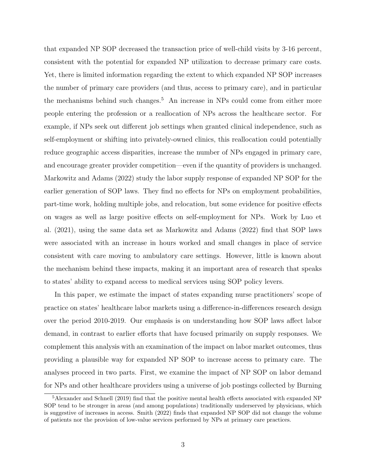that expanded NP SOP decreased the transaction price of well-child visits by 3-16 percent, consistent with the potential for expanded NP utilization to decrease primary care costs. Yet, there is limited information regarding the extent to which expanded NP SOP increases the number of primary care providers (and thus, access to primary care), and in particular the mechanisms behind such changes.<sup>5</sup> An increase in NPs could come from either more people entering the profession or a reallocation of NPs across the healthcare sector. For example, if NPs seek out different job settings when granted clinical independence, such as self-employment or shifting into privately-owned clinics, this reallocation could potentially reduce geographic access disparities, increase the number of NPs engaged in primary care, and encourage greater provider competition—even if the quantity of providers is unchanged. Markowitz and Adams (2022) study the labor supply response of expanded NP SOP for the earlier generation of SOP laws. They find no effects for NPs on employment probabilities, part-time work, holding multiple jobs, and relocation, but some evidence for positive effects on wages as well as large positive effects on self-employment for NPs. Work by Luo et al. (2021), using the same data set as Markowitz and Adams (2022) find that SOP laws were associated with an increase in hours worked and small changes in place of service consistent with care moving to ambulatory care settings. However, little is known about the mechanism behind these impacts, making it an important area of research that speaks to states' ability to expand access to medical services using SOP policy levers.

In this paper, we estimate the impact of states expanding nurse practitioners' scope of practice on states' healthcare labor markets using a difference-in-differences research design over the period 2010-2019. Our emphasis is on understanding how SOP laws affect labor demand, in contrast to earlier efforts that have focused primarily on supply responses. We complement this analysis with an examination of the impact on labor market outcomes, thus providing a plausible way for expanded NP SOP to increase access to primary care. The analyses proceed in two parts. First, we examine the impact of NP SOP on labor demand for NPs and other healthcare providers using a universe of job postings collected by Burning

<sup>5</sup>Alexander and Schnell (2019) find that the positive mental health effects associated with expanded NP SOP tend to be stronger in areas (and among populations) traditionally underserved by physicians, which is suggestive of increases in access. Smith (2022) finds that expanded NP SOP did not change the volume of patients nor the provision of low-value services performed by NPs at primary care practices.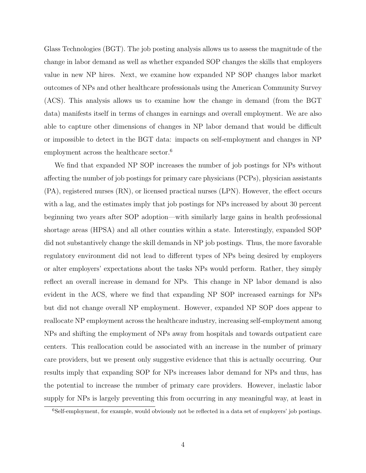Glass Technologies (BGT). The job posting analysis allows us to assess the magnitude of the change in labor demand as well as whether expanded SOP changes the skills that employers value in new NP hires. Next, we examine how expanded NP SOP changes labor market outcomes of NPs and other healthcare professionals using the American Community Survey (ACS). This analysis allows us to examine how the change in demand (from the BGT data) manifests itself in terms of changes in earnings and overall employment. We are also able to capture other dimensions of changes in NP labor demand that would be difficult or impossible to detect in the BGT data: impacts on self-employment and changes in NP employment across the healthcare sector.<sup>6</sup>

We find that expanded NP SOP increases the number of job postings for NPs without affecting the number of job postings for primary care physicians (PCPs), physician assistants (PA), registered nurses (RN), or licensed practical nurses (LPN). However, the effect occurs with a lag, and the estimates imply that job postings for NPs increased by about 30 percent beginning two years after SOP adoption—with similarly large gains in health professional shortage areas (HPSA) and all other counties within a state. Interestingly, expanded SOP did not substantively change the skill demands in NP job postings. Thus, the more favorable regulatory environment did not lead to different types of NPs being desired by employers or alter employers' expectations about the tasks NPs would perform. Rather, they simply reflect an overall increase in demand for NPs. This change in NP labor demand is also evident in the ACS, where we find that expanding NP SOP increased earnings for NPs but did not change overall NP employment. However, expanded NP SOP does appear to reallocate NP employment across the healthcare industry, increasing self-employment among NPs and shifting the employment of NPs away from hospitals and towards outpatient care centers. This reallocation could be associated with an increase in the number of primary care providers, but we present only suggestive evidence that this is actually occurring. Our results imply that expanding SOP for NPs increases labor demand for NPs and thus, has the potential to increase the number of primary care providers. However, inelastic labor supply for NPs is largely preventing this from occurring in any meaningful way, at least in

<sup>6</sup>Self-employment, for example, would obviously not be reflected in a data set of employers' job postings.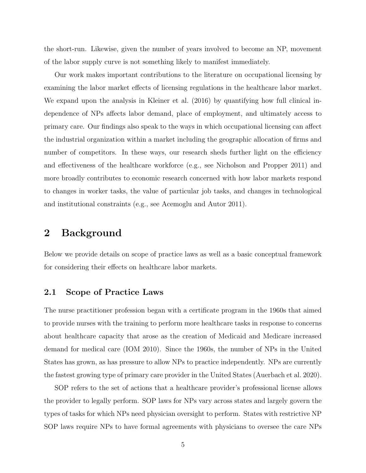the short-run. Likewise, given the number of years involved to become an NP, movement of the labor supply curve is not something likely to manifest immediately.

Our work makes important contributions to the literature on occupational licensing by examining the labor market effects of licensing regulations in the healthcare labor market. We expand upon the analysis in Kleiner et al. (2016) by quantifying how full clinical independence of NPs affects labor demand, place of employment, and ultimately access to primary care. Our findings also speak to the ways in which occupational licensing can affect the industrial organization within a market including the geographic allocation of firms and number of competitors. In these ways, our research sheds further light on the efficiency and effectiveness of the healthcare workforce (e.g., see Nicholson and Propper 2011) and more broadly contributes to economic research concerned with how labor markets respond to changes in worker tasks, the value of particular job tasks, and changes in technological and institutional constraints (e.g., see Acemoglu and Autor 2011).

### 2 Background

Below we provide details on scope of practice laws as well as a basic conceptual framework for considering their effects on healthcare labor markets.

#### 2.1 Scope of Practice Laws

The nurse practitioner profession began with a certificate program in the 1960s that aimed to provide nurses with the training to perform more healthcare tasks in response to concerns about healthcare capacity that arose as the creation of Medicaid and Medicare increased demand for medical care (IOM 2010). Since the 1960s, the number of NPs in the United States has grown, as has pressure to allow NPs to practice independently. NPs are currently the fastest growing type of primary care provider in the United States (Auerbach et al. 2020).

SOP refers to the set of actions that a healthcare provider's professional license allows the provider to legally perform. SOP laws for NPs vary across states and largely govern the types of tasks for which NPs need physician oversight to perform. States with restrictive NP SOP laws require NPs to have formal agreements with physicians to oversee the care NPs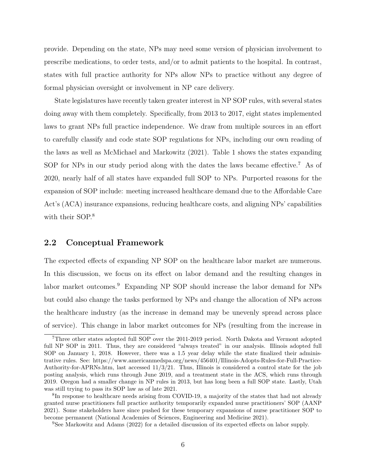provide. Depending on the state, NPs may need some version of physician involvement to prescribe medications, to order tests, and/or to admit patients to the hospital. In contrast, states with full practice authority for NPs allow NPs to practice without any degree of formal physician oversight or involvement in NP care delivery.

State legislatures have recently taken greater interest in NP SOP rules, with several states doing away with them completely. Specifically, from 2013 to 2017, eight states implemented laws to grant NPs full practice independence. We draw from multiple sources in an effort to carefully classify and code state SOP regulations for NPs, including our own reading of the laws as well as McMichael and Markowitz (2021). Table 1 shows the states expanding SOP for NPs in our study period along with the dates the laws became effective.<sup>7</sup> As of 2020, nearly half of all states have expanded full SOP to NPs. Purported reasons for the expansion of SOP include: meeting increased healthcare demand due to the Affordable Care Act's (ACA) insurance expansions, reducing healthcare costs, and aligning NPs' capabilities with their SOP.<sup>8</sup>

#### 2.2 Conceptual Framework

The expected effects of expanding NP SOP on the healthcare labor market are numerous. In this discussion, we focus on its effect on labor demand and the resulting changes in labor market outcomes.<sup>9</sup> Expanding NP SOP should increase the labor demand for NPs but could also change the tasks performed by NPs and change the allocation of NPs across the healthcare industry (as the increase in demand may be unevenly spread across place of service). This change in labor market outcomes for NPs (resulting from the increase in

<sup>7</sup>Three other states adopted full SOP over the 2011-2019 period. North Dakota and Vermont adopted full NP SOP in 2011. Thus, they are considered "always treated" in our analysis. Illinois adopted full SOP on January 1, 2018. However, there was a 1.5 year delay while the state finalized their administrative rules. See: https://www.americanmedspa.org/news/456401/Illinois-Adopts-Rules-for-Full-Practice-Authority-for-APRNs.htm, last accessed 11/3/21. Thus, Illinois is considered a control state for the job posting analysis, which runs through June 2019, and a treatment state in the ACS, which runs through 2019. Oregon had a smaller change in NP rules in 2013, but has long been a full SOP state. Lastly, Utah was still trying to pass its SOP law as of late 2021.

<sup>&</sup>lt;sup>8</sup>In response to healthcare needs arising from COVID-19, a majority of the states that had not already granted nurse practitioners full practice authority temporarily expanded nurse practitioners' SOP (AANP 2021). Some stakeholders have since pushed for these temporary expansions of nurse practitioner SOP to become permanent (National Academies of Sciences, Engineering and Medicine 2021).

<sup>9</sup>See Markowitz and Adams (2022) for a detailed discussion of its expected effects on labor supply.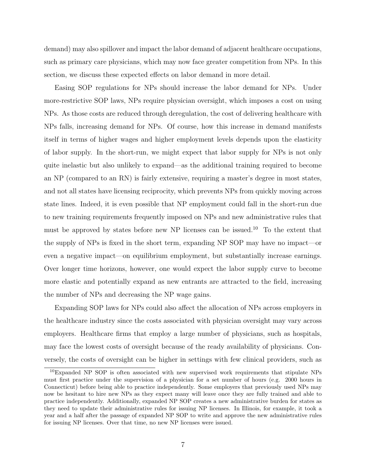demand) may also spillover and impact the labor demand of adjacent healthcare occupations, such as primary care physicians, which may now face greater competition from NPs. In this section, we discuss these expected effects on labor demand in more detail.

Easing SOP regulations for NPs should increase the labor demand for NPs. Under more-restrictive SOP laws, NPs require physician oversight, which imposes a cost on using NPs. As those costs are reduced through deregulation, the cost of delivering healthcare with NPs falls, increasing demand for NPs. Of course, how this increase in demand manifests itself in terms of higher wages and higher employment levels depends upon the elasticity of labor supply. In the short-run, we might expect that labor supply for NPs is not only quite inelastic but also unlikely to expand—as the additional training required to become an NP (compared to an RN) is fairly extensive, requiring a master's degree in most states, and not all states have licensing reciprocity, which prevents NPs from quickly moving across state lines. Indeed, it is even possible that NP employment could fall in the short-run due to new training requirements frequently imposed on NPs and new administrative rules that must be approved by states before new NP licenses can be issued.<sup>10</sup> To the extent that the supply of NPs is fixed in the short term, expanding NP SOP may have no impact—or even a negative impact—on equilibrium employment, but substantially increase earnings. Over longer time horizons, however, one would expect the labor supply curve to become more elastic and potentially expand as new entrants are attracted to the field, increasing the number of NPs and decreasing the NP wage gains.

Expanding SOP laws for NPs could also affect the allocation of NPs across employers in the healthcare industry since the costs associated with physician oversight may vary across employers. Healthcare firms that employ a large number of physicians, such as hospitals, may face the lowest costs of oversight because of the ready availability of physicians. Conversely, the costs of oversight can be higher in settings with few clinical providers, such as

<sup>10</sup>Expanded NP SOP is often associated with new supervised work requirements that stipulate NPs must first practice under the supervision of a physician for a set number of hours (e.g. 2000 hours in Connecticut) before being able to practice independently. Some employers that previously used NPs may now be hesitant to hire new NPs as they expect many will leave once they are fully trained and able to practice independently. Additionally, expanded NP SOP creates a new administrative burden for states as they need to update their administrative rules for issuing NP licenses. In Illinois, for example, it took a year and a half after the passage of expanded NP SOP to write and approve the new administrative rules for issuing NP licenses. Over that time, no new NP licenses were issued.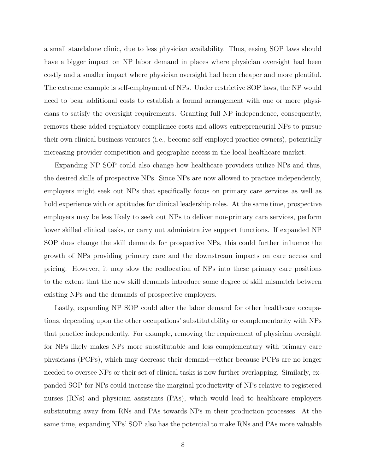a small standalone clinic, due to less physician availability. Thus, easing SOP laws should have a bigger impact on NP labor demand in places where physician oversight had been costly and a smaller impact where physician oversight had been cheaper and more plentiful. The extreme example is self-employment of NPs. Under restrictive SOP laws, the NP would need to bear additional costs to establish a formal arrangement with one or more physicians to satisfy the oversight requirements. Granting full NP independence, consequently, removes these added regulatory compliance costs and allows entrepreneurial NPs to pursue their own clinical business ventures (i.e., become self-employed practice owners), potentially increasing provider competition and geographic access in the local healthcare market.

Expanding NP SOP could also change how healthcare providers utilize NPs and thus, the desired skills of prospective NPs. Since NPs are now allowed to practice independently, employers might seek out NPs that specifically focus on primary care services as well as hold experience with or aptitudes for clinical leadership roles. At the same time, prospective employers may be less likely to seek out NPs to deliver non-primary care services, perform lower skilled clinical tasks, or carry out administrative support functions. If expanded NP SOP does change the skill demands for prospective NPs, this could further influence the growth of NPs providing primary care and the downstream impacts on care access and pricing. However, it may slow the reallocation of NPs into these primary care positions to the extent that the new skill demands introduce some degree of skill mismatch between existing NPs and the demands of prospective employers.

Lastly, expanding NP SOP could alter the labor demand for other healthcare occupations, depending upon the other occupations' substitutability or complementarity with NPs that practice independently. For example, removing the requirement of physician oversight for NPs likely makes NPs more substitutable and less complementary with primary care physicians (PCPs), which may decrease their demand—either because PCPs are no longer needed to oversee NPs or their set of clinical tasks is now further overlapping. Similarly, expanded SOP for NPs could increase the marginal productivity of NPs relative to registered nurses (RNs) and physician assistants (PAs), which would lead to healthcare employers substituting away from RNs and PAs towards NPs in their production processes. At the same time, expanding NPs' SOP also has the potential to make RNs and PAs more valuable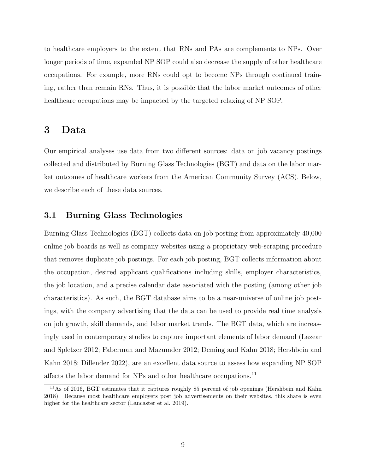to healthcare employers to the extent that RNs and PAs are complements to NPs. Over longer periods of time, expanded NP SOP could also decrease the supply of other healthcare occupations. For example, more RNs could opt to become NPs through continued training, rather than remain RNs. Thus, it is possible that the labor market outcomes of other healthcare occupations may be impacted by the targeted relaxing of NP SOP.

### 3 Data

Our empirical analyses use data from two different sources: data on job vacancy postings collected and distributed by Burning Glass Technologies (BGT) and data on the labor market outcomes of healthcare workers from the American Community Survey (ACS). Below, we describe each of these data sources.

#### 3.1 Burning Glass Technologies

Burning Glass Technologies (BGT) collects data on job posting from approximately 40,000 online job boards as well as company websites using a proprietary web-scraping procedure that removes duplicate job postings. For each job posting, BGT collects information about the occupation, desired applicant qualifications including skills, employer characteristics, the job location, and a precise calendar date associated with the posting (among other job characteristics). As such, the BGT database aims to be a near-universe of online job postings, with the company advertising that the data can be used to provide real time analysis on job growth, skill demands, and labor market trends. The BGT data, which are increasingly used in contemporary studies to capture important elements of labor demand (Lazear and Spletzer 2012; Faberman and Mazumder 2012; Deming and Kahn 2018; Hershbein and Kahn 2018; Dillender 2022), are an excellent data source to assess how expanding NP SOP affects the labor demand for NPs and other healthcare occupations.<sup>11</sup>

<sup>&</sup>lt;sup>11</sup>As of 2016, BGT estimates that it captures roughly 85 percent of job openings (Hershbein and Kahn 2018). Because most healthcare employers post job advertisements on their websites, this share is even higher for the healthcare sector (Lancaster et al. 2019).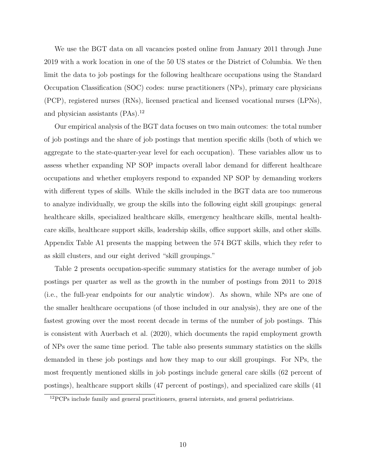We use the BGT data on all vacancies posted online from January 2011 through June 2019 with a work location in one of the 50 US states or the District of Columbia. We then limit the data to job postings for the following healthcare occupations using the Standard Occupation Classification (SOC) codes: nurse practitioners (NPs), primary care physicians (PCP), registered nurses (RNs), licensed practical and licensed vocational nurses (LPNs), and physician assistants (PAs).<sup>12</sup>

Our empirical analysis of the BGT data focuses on two main outcomes: the total number of job postings and the share of job postings that mention specific skills (both of which we aggregate to the state-quarter-year level for each occupation). These variables allow us to assess whether expanding NP SOP impacts overall labor demand for different healthcare occupations and whether employers respond to expanded NP SOP by demanding workers with different types of skills. While the skills included in the BGT data are too numerous to analyze individually, we group the skills into the following eight skill groupings: general healthcare skills, specialized healthcare skills, emergency healthcare skills, mental healthcare skills, healthcare support skills, leadership skills, office support skills, and other skills. Appendix Table A1 presents the mapping between the 574 BGT skills, which they refer to as skill clusters, and our eight derived "skill groupings."

Table 2 presents occupation-specific summary statistics for the average number of job postings per quarter as well as the growth in the number of postings from 2011 to 2018 (i.e., the full-year endpoints for our analytic window). As shown, while NPs are one of the smaller healthcare occupations (of those included in our analysis), they are one of the fastest growing over the most recent decade in terms of the number of job postings. This is consistent with Auerbach et al. (2020), which documents the rapid employment growth of NPs over the same time period. The table also presents summary statistics on the skills demanded in these job postings and how they map to our skill groupings. For NPs, the most frequently mentioned skills in job postings include general care skills (62 percent of postings), healthcare support skills (47 percent of postings), and specialized care skills (41

<sup>&</sup>lt;sup>12</sup>PCPs include family and general practitioners, general internists, and general pediatricians.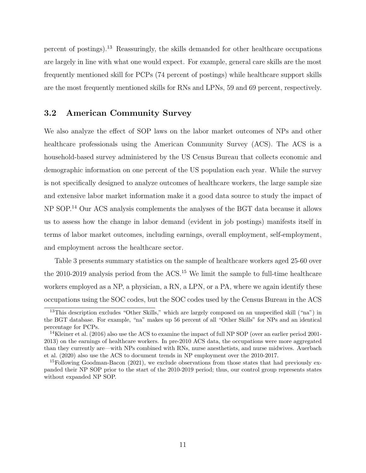percent of postings).<sup>13</sup> Reassuringly, the skills demanded for other healthcare occupations are largely in line with what one would expect. For example, general care skills are the most frequently mentioned skill for PCPs (74 percent of postings) while healthcare support skills are the most frequently mentioned skills for RNs and LPNs, 59 and 69 percent, respectively.

### 3.2 American Community Survey

We also analyze the effect of SOP laws on the labor market outcomes of NPs and other healthcare professionals using the American Community Survey (ACS). The ACS is a household-based survey administered by the US Census Bureau that collects economic and demographic information on one percent of the US population each year. While the survey is not specifically designed to analyze outcomes of healthcare workers, the large sample size and extensive labor market information make it a good data source to study the impact of NP SOP.<sup>14</sup> Our ACS analysis complements the analyses of the BGT data because it allows us to assess how the change in labor demand (evident in job postings) manifests itself in terms of labor market outcomes, including earnings, overall employment, self-employment, and employment across the healthcare sector.

Table 3 presents summary statistics on the sample of healthcare workers aged 25-60 over the 2010-2019 analysis period from the ACS.<sup>15</sup> We limit the sample to full-time healthcare workers employed as a NP, a physician, a RN, a LPN, or a PA, where we again identify these occupations using the SOC codes, but the SOC codes used by the Census Bureau in the ACS

<sup>&</sup>lt;sup>13</sup>This description excludes "Other Skills," which are largely composed on an unspecified skill ("na") in the BGT database. For example, "na" makes up 56 percent of all "Other Skills" for NPs and an identical percentage for PCPs.

<sup>&</sup>lt;sup>14</sup>Kleiner et al. (2016) also use the ACS to examine the impact of full NP SOP (over an earlier period 2001-2013) on the earnings of healthcare workers. In pre-2010 ACS data, the occupations were more aggregated than they currently are—with NPs combined with RNs, nurse anesthetists, and nurse midwives. Auerbach et al. (2020) also use the ACS to document trends in NP employment over the 2010-2017.

<sup>&</sup>lt;sup>15</sup>Following Goodman-Bacon (2021), we exclude observations from those states that had previously expanded their NP SOP prior to the start of the 2010-2019 period; thus, our control group represents states without expanded NP SOP.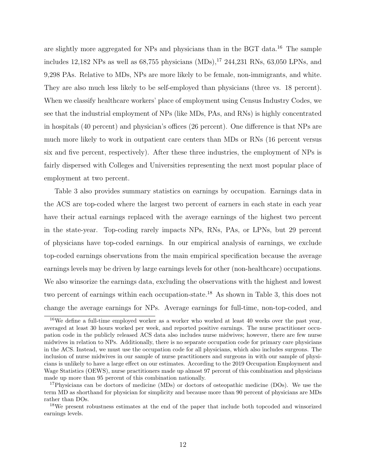are slightly more aggregated for NPs and physicians than in the BGT data.<sup>16</sup> The sample includes 12,182 NPs as well as  $68,755$  physicians  $(MDs)$ ,  $^{17}$  244, 231 RNs, 63, 050 LPNs, and 9,298 PAs. Relative to MDs, NPs are more likely to be female, non-immigrants, and white. They are also much less likely to be self-employed than physicians (three vs. 18 percent). When we classify healthcare workers' place of employment using Census Industry Codes, we see that the industrial employment of NPs (like MDs, PAs, and RNs) is highly concentrated in hospitals (40 percent) and physician's offices (26 percent). One difference is that NPs are much more likely to work in outpatient care centers than MDs or RNs (16 percent versus six and five percent, respectively). After these three industries, the employment of NPs is fairly dispersed with Colleges and Universities representing the next most popular place of employment at two percent.

Table 3 also provides summary statistics on earnings by occupation. Earnings data in the ACS are top-coded where the largest two percent of earners in each state in each year have their actual earnings replaced with the average earnings of the highest two percent in the state-year. Top-coding rarely impacts NPs, RNs, PAs, or LPNs, but 29 percent of physicians have top-coded earnings. In our empirical analysis of earnings, we exclude top-coded earnings observations from the main empirical specification because the average earnings levels may be driven by large earnings levels for other (non-healthcare) occupations. We also winsorize the earnings data, excluding the observations with the highest and lowest two percent of earnings within each occupation-state.<sup>18</sup> As shown in Table 3, this does not change the average earnings for NPs. Average earnings for full-time, non-top-coded, and

<sup>16</sup>We define a full-time employed worker as a worker who worked at least 40 weeks over the past year, averaged at least 30 hours worked per week, and reported positive earnings. The nurse practitioner occupation code in the publicly released ACS data also includes nurse midwives; however, there are few nurse midwives in relation to NPs. Additionally, there is no separate occupation code for primary care physicians in the ACS. Instead, we must use the occupation code for all physicians, which also includes surgeons. The inclusion of nurse midwives in our sample of nurse practitioners and surgeons in with our sample of physicians is unlikely to have a large effect on our estimates. According to the 2019 Occupation Employment and Wage Statistics (OEWS), nurse practitioners made up almost 97 percent of this combination and physicians made up more than 95 percent of this combination nationally.

<sup>&</sup>lt;sup>17</sup>Physicians can be doctors of medicine (MDs) or doctors of osteopathic medicine (DOs). We use the term MD as shorthand for physician for simplicity and because more than 90 percent of physicians are MDs rather than DOs.

<sup>&</sup>lt;sup>18</sup>We present robustness estimates at the end of the paper that include both topcoded and winsorized earnings levels.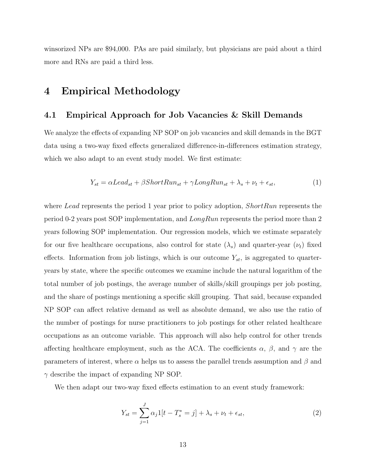winsorized NPs are \$94,000. PAs are paid similarly, but physicians are paid about a third more and RNs are paid a third less.

### 4 Empirical Methodology

#### 4.1 Empirical Approach for Job Vacancies & Skill Demands

We analyze the effects of expanding NP SOP on job vacancies and skill demands in the BGT data using a two-way fixed effects generalized difference-in-differences estimation strategy, which we also adapt to an event study model. We first estimate:

$$
Y_{st} = \alpha Lead_{st} + \beta ShortRun_{st} + \gamma LongRun_{st} + \lambda_s + \nu_t + \epsilon_{st},\tag{1}
$$

where Lead represents the period 1 year prior to policy adoption,  $ShortRun$  represents the period 0-2 years post SOP implementation, and  $LongRun$  represents the period more than 2 years following SOP implementation. Our regression models, which we estimate separately for our five healthcare occupations, also control for state  $(\lambda_s)$  and quarter-year  $(\nu_t)$  fixed effects. Information from job listings, which is our outcome  $Y_{st}$ , is aggregated to quarteryears by state, where the specific outcomes we examine include the natural logarithm of the total number of job postings, the average number of skills/skill groupings per job posting, and the share of postings mentioning a specific skill grouping. That said, because expanded NP SOP can affect relative demand as well as absolute demand, we also use the ratio of the number of postings for nurse practitioners to job postings for other related healthcare occupations as an outcome variable. This approach will also help control for other trends affecting healthcare employment, such as the ACA. The coefficients  $\alpha$ ,  $\beta$ , and  $\gamma$  are the parameters of interest, where  $\alpha$  helps us to assess the parallel trends assumption and  $\beta$  and  $\gamma$  describe the impact of expanding NP SOP.

We then adapt our two-way fixed effects estimation to an event study framework:

$$
Y_{st} = \sum_{j=1}^{J} \alpha_j 1[t - T_s^* = j] + \lambda_s + \nu_t + \epsilon_{st},
$$
\n(2)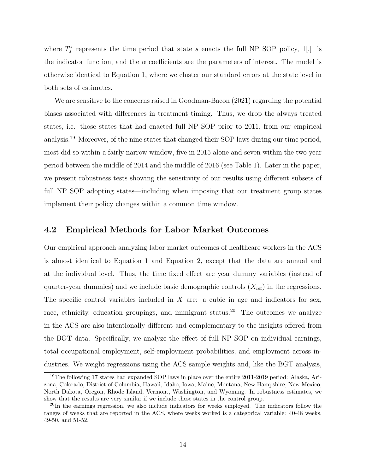where  $T_s^*$  represents the time period that state s enacts the full NP SOP policy, 1[.] is the indicator function, and the  $\alpha$  coefficients are the parameters of interest. The model is otherwise identical to Equation 1, where we cluster our standard errors at the state level in both sets of estimates.

We are sensitive to the concerns raised in Goodman-Bacon (2021) regarding the potential biases associated with differences in treatment timing. Thus, we drop the always treated states, i.e. those states that had enacted full NP SOP prior to 2011, from our empirical analysis.<sup>19</sup> Moreover, of the nine states that changed their SOP laws during our time period, most did so within a fairly narrow window, five in 2015 alone and seven within the two year period between the middle of 2014 and the middle of 2016 (see Table 1). Later in the paper, we present robustness tests showing the sensitivity of our results using different subsets of full NP SOP adopting states—including when imposing that our treatment group states implement their policy changes within a common time window.

#### 4.2 Empirical Methods for Labor Market Outcomes

Our empirical approach analyzing labor market outcomes of healthcare workers in the ACS is almost identical to Equation 1 and Equation 2, except that the data are annual and at the individual level. Thus, the time fixed effect are year dummy variables (instead of quarter-year dummies) and we include basic demographic controls  $(X_{ist})$  in the regressions. The specific control variables included in  $X$  are: a cubic in age and indicators for sex, race, ethnicity, education groupings, and immigrant status.<sup>20</sup> The outcomes we analyze in the ACS are also intentionally different and complementary to the insights offered from the BGT data. Specifically, we analyze the effect of full NP SOP on individual earnings, total occupational employment, self-employment probabilities, and employment across industries. We weight regressions using the ACS sample weights and, like the BGT analysis,

<sup>&</sup>lt;sup>19</sup>The following 17 states had expanded SOP laws in place over the entire 2011-2019 period: Alaska, Arizona, Colorado, District of Columbia, Hawaii, Idaho, Iowa, Maine, Montana, New Hampshire, New Mexico, North Dakota, Oregon, Rhode Island, Vermont, Washington, and Wyoming. In robustness estimates, we show that the results are very similar if we include these states in the control group.

<sup>&</sup>lt;sup>20</sup>In the earnings regression, we also include indicators for weeks employed. The indicators follow the ranges of weeks that are reported in the ACS, where weeks worked is a categorical variable: 40-48 weeks, 49-50, and 51-52.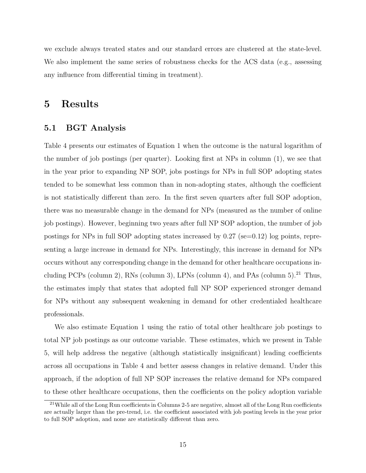we exclude always treated states and our standard errors are clustered at the state-level. We also implement the same series of robustness checks for the ACS data (e.g., assessing any influence from differential timing in treatment).

### 5 Results

#### 5.1 BGT Analysis

Table 4 presents our estimates of Equation 1 when the outcome is the natural logarithm of the number of job postings (per quarter). Looking first at NPs in column (1), we see that in the year prior to expanding NP SOP, jobs postings for NPs in full SOP adopting states tended to be somewhat less common than in non-adopting states, although the coefficient is not statistically different than zero. In the first seven quarters after full SOP adoption, there was no measurable change in the demand for NPs (measured as the number of online job postings). However, beginning two years after full NP SOP adoption, the number of job postings for NPs in full SOP adopting states increased by  $0.27$  (se=0.12) log points, representing a large increase in demand for NPs. Interestingly, this increase in demand for NPs occurs without any corresponding change in the demand for other healthcare occupations including PCPs (column 2), RNs (column 3), LPNs (column 4), and PAs (column  $5$ ).<sup>21</sup> Thus, the estimates imply that states that adopted full NP SOP experienced stronger demand for NPs without any subsequent weakening in demand for other credentialed healthcare professionals.

We also estimate Equation 1 using the ratio of total other healthcare job postings to total NP job postings as our outcome variable. These estimates, which we present in Table 5, will help address the negative (although statistically insignificant) leading coefficients across all occupations in Table 4 and better assess changes in relative demand. Under this approach, if the adoption of full NP SOP increases the relative demand for NPs compared to these other healthcare occupations, then the coefficients on the policy adoption variable

<sup>21</sup>While all of the Long Run coefficients in Columns 2-5 are negative, almost all of the Long Run coefficients are actually larger than the pre-trend, i.e. the coefficient associated with job posting levels in the year prior to full SOP adoption, and none are statistically different than zero.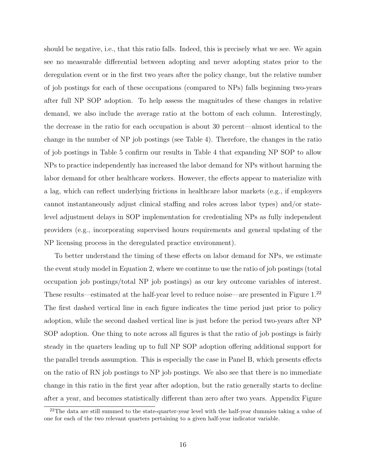should be negative, i.e., that this ratio falls. Indeed, this is precisely what we see. We again see no measurable differential between adopting and never adopting states prior to the deregulation event or in the first two years after the policy change, but the relative number of job postings for each of these occupations (compared to NPs) falls beginning two-years after full NP SOP adoption. To help assess the magnitudes of these changes in relative demand, we also include the average ratio at the bottom of each column. Interestingly, the decrease in the ratio for each occupation is about 30 percent—almost identical to the change in the number of NP job postings (see Table 4). Therefore, the changes in the ratio of job postings in Table 5 confirm our results in Table 4 that expanding NP SOP to allow NPs to practice independently has increased the labor demand for NPs without harming the labor demand for other healthcare workers. However, the effects appear to materialize with a lag, which can reflect underlying frictions in healthcare labor markets (e.g., if employers cannot instantaneously adjust clinical staffing and roles across labor types) and/or statelevel adjustment delays in SOP implementation for credentialing NPs as fully independent providers (e.g., incorporating supervised hours requirements and general updating of the NP licensing process in the deregulated practice environment).

To better understand the timing of these effects on labor demand for NPs, we estimate the event study model in Equation 2, where we continue to use the ratio of job postings (total occupation job postings/total NP job postings) as our key outcome variables of interest. These results—estimated at the half-year level to reduce noise—are presented in Figure 1.<sup>22</sup> The first dashed vertical line in each figure indicates the time period just prior to policy adoption, while the second dashed vertical line is just before the period two-years after NP SOP adoption. One thing to note across all figures is that the ratio of job postings is fairly steady in the quarters leading up to full NP SOP adoption offering additional support for the parallel trends assumption. This is especially the case in Panel B, which presents effects on the ratio of RN job postings to NP job postings. We also see that there is no immediate change in this ratio in the first year after adoption, but the ratio generally starts to decline after a year, and becomes statistically different than zero after two years. Appendix Figure

<sup>&</sup>lt;sup>22</sup>The data are still summed to the state-quarter-year level with the half-year dummies taking a value of one for each of the two relevant quarters pertaining to a given half-year indicator variable.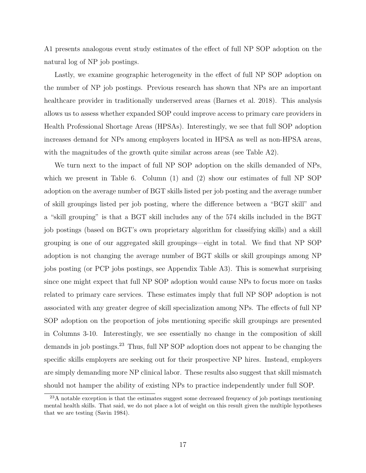A1 presents analogous event study estimates of the effect of full NP SOP adoption on the natural log of NP job postings.

Lastly, we examine geographic heterogeneity in the effect of full NP SOP adoption on the number of NP job postings. Previous research has shown that NPs are an important healthcare provider in traditionally underserved areas (Barnes et al. 2018). This analysis allows us to assess whether expanded SOP could improve access to primary care providers in Health Professional Shortage Areas (HPSAs). Interestingly, we see that full SOP adoption increases demand for NPs among employers located in HPSA as well as non-HPSA areas, with the magnitudes of the growth quite similar across areas (see Table A2).

We turn next to the impact of full NP SOP adoption on the skills demanded of NPs, which we present in Table 6. Column (1) and (2) show our estimates of full NP SOP adoption on the average number of BGT skills listed per job posting and the average number of skill groupings listed per job posting, where the difference between a "BGT skill" and a "skill grouping" is that a BGT skill includes any of the 574 skills included in the BGT job postings (based on BGT's own proprietary algorithm for classifying skills) and a skill grouping is one of our aggregated skill groupings—eight in total. We find that NP SOP adoption is not changing the average number of BGT skills or skill groupings among NP jobs posting (or PCP jobs postings, see Appendix Table A3). This is somewhat surprising since one might expect that full NP SOP adoption would cause NPs to focus more on tasks related to primary care services. These estimates imply that full NP SOP adoption is not associated with any greater degree of skill specialization among NPs. The effects of full NP SOP adoption on the proportion of jobs mentioning specific skill groupings are presented in Columns 3-10. Interestingly, we see essentially no change in the composition of skill demands in job postings.<sup>23</sup> Thus, full NP SOP adoption does not appear to be changing the specific skills employers are seeking out for their prospective NP hires. Instead, employers are simply demanding more NP clinical labor. These results also suggest that skill mismatch should not hamper the ability of existing NPs to practice independently under full SOP.

<sup>&</sup>lt;sup>23</sup>A notable exception is that the estimates suggest some decreased frequency of job postings mentioning mental health skills. That said, we do not place a lot of weight on this result given the multiple hypotheses that we are testing (Savin 1984).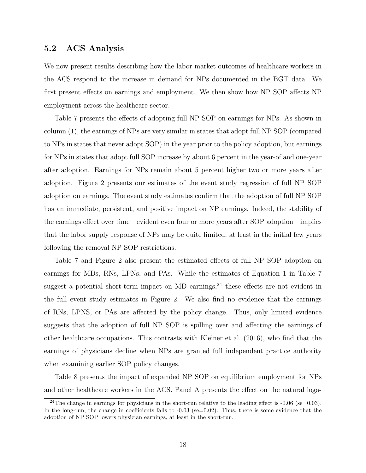#### 5.2 ACS Analysis

We now present results describing how the labor market outcomes of healthcare workers in the ACS respond to the increase in demand for NPs documented in the BGT data. We first present effects on earnings and employment. We then show how NP SOP affects NP employment across the healthcare sector.

Table 7 presents the effects of adopting full NP SOP on earnings for NPs. As shown in column (1), the earnings of NPs are very similar in states that adopt full NP SOP (compared to NPs in states that never adopt SOP) in the year prior to the policy adoption, but earnings for NPs in states that adopt full SOP increase by about 6 percent in the year-of and one-year after adoption. Earnings for NPs remain about 5 percent higher two or more years after adoption. Figure 2 presents our estimates of the event study regression of full NP SOP adoption on earnings. The event study estimates confirm that the adoption of full NP SOP has an immediate, persistent, and positive impact on NP earnings. Indeed, the stability of the earnings effect over time—evident even four or more years after SOP adoption—implies that the labor supply response of NPs may be quite limited, at least in the initial few years following the removal NP SOP restrictions.

Table 7 and Figure 2 also present the estimated effects of full NP SOP adoption on earnings for MDs, RNs, LPNs, and PAs. While the estimates of Equation 1 in Table 7 suggest a potential short-term impact on MD earnings,  $24$  these effects are not evident in the full event study estimates in Figure 2. We also find no evidence that the earnings of RNs, LPNS, or PAs are affected by the policy change. Thus, only limited evidence suggests that the adoption of full NP SOP is spilling over and affecting the earnings of other healthcare occupations. This contrasts with Kleiner et al. (2016), who find that the earnings of physicians decline when NPs are granted full independent practice authority when examining earlier SOP policy changes.

Table 8 presents the impact of expanded NP SOP on equilibrium employment for NPs and other healthcare workers in the ACS. Panel A presents the effect on the natural loga-

<sup>&</sup>lt;sup>24</sup>The change in earnings for physicians in the short-run relative to the leading effect is  $-0.06$  (se=0.03). In the long-run, the change in coefficients falls to  $-0.03$  (se=0.02). Thus, there is some evidence that the adoption of NP SOP lowers physician earnings, at least in the short-run.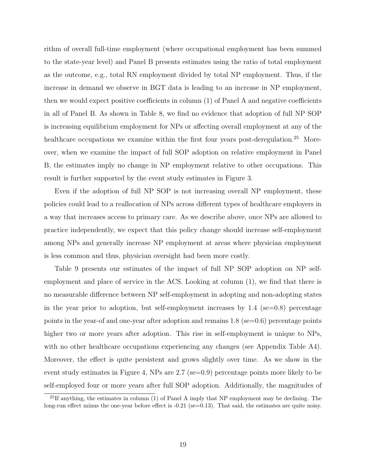rithm of overall full-time employment (where occupational employment has been summed to the state-year level) and Panel B presents estimates using the ratio of total employment as the outcome, e.g., total RN employment divided by total NP employment. Thus, if the increase in demand we observe in BGT data is leading to an increase in NP employment, then we would expect positive coefficients in column (1) of Panel A and negative coefficients in all of Panel B. As shown in Table 8, we find no evidence that adoption of full NP SOP is increasing equilibrium employment for NPs or affecting overall employment at any of the healthcare occupations we examine within the first four years post-deregulation.<sup>25</sup> Moreover, when we examine the impact of full SOP adoption on relative employment in Panel B, the estimates imply no change in NP employment relative to other occupations. This result is further supported by the event study estimates in Figure 3.

Even if the adoption of full NP SOP is not increasing overall NP employment, these policies could lead to a reallocation of NPs across different types of healthcare employers in a way that increases access to primary care. As we describe above, once NPs are allowed to practice independently, we expect that this policy change should increase self-employment among NPs and generally increase NP employment at areas where physician employment is less common and thus, physician oversight had been more costly.

Table 9 presents our estimates of the impact of full NP SOP adoption on NP selfemployment and place of service in the ACS. Looking at column (1), we find that there is no measurable difference between NP self-employment in adopting and non-adopting states in the year prior to adoption, but self-employment increases by  $1.4$  (se=0.8) percentage points in the year-of and one-year after adoption and remains 1.8 (se=0.6) percentage points higher two or more years after adoption. This rise in self-employment is unique to NPs, with no other healthcare occupations experiencing any changes (see Appendix Table A4). Moreover, the effect is quite persistent and grows slightly over time. As we show in the event study estimates in Figure 4, NPs are 2.7 (se=0.9) percentage points more likely to be self-employed four or more years after full SOP adoption. Additionally, the magnitudes of

<sup>&</sup>lt;sup>25</sup>If anything, the estimates in column  $(1)$  of Panel A imply that NP employment may be declining. The long-run effect minus the one-year before effect is -0.21 (se=0.13). That said, the estimates are quite noisy.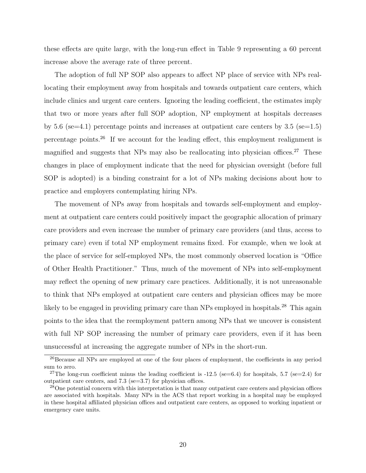these effects are quite large, with the long-run effect in Table 9 representing a 60 percent increase above the average rate of three percent.

The adoption of full NP SOP also appears to affect NP place of service with NPs reallocating their employment away from hospitals and towards outpatient care centers, which include clinics and urgent care centers. Ignoring the leading coefficient, the estimates imply that two or more years after full SOP adoption, NP employment at hospitals decreases by 5.6 (se=4.1) percentage points and increases at outpatient care centers by 3.5 (se=1.5) percentage points.<sup>26</sup> If we account for the leading effect, this employment realignment is magnified and suggests that NPs may also be reallocating into physician offices.<sup>27</sup> These changes in place of employment indicate that the need for physician oversight (before full SOP is adopted) is a binding constraint for a lot of NPs making decisions about how to practice and employers contemplating hiring NPs.

The movement of NPs away from hospitals and towards self-employment and employment at outpatient care centers could positively impact the geographic allocation of primary care providers and even increase the number of primary care providers (and thus, access to primary care) even if total NP employment remains fixed. For example, when we look at the place of service for self-employed NPs, the most commonly observed location is "Office of Other Health Practitioner." Thus, much of the movement of NPs into self-employment may reflect the opening of new primary care practices. Additionally, it is not unreasonable to think that NPs employed at outpatient care centers and physician offices may be more likely to be engaged in providing primary care than NPs employed in hospitals.<sup>28</sup> This again points to the idea that the reemployment pattern among NPs that we uncover is consistent with full NP SOP increasing the number of primary care providers, even if it has been unsuccessful at increasing the aggregate number of NPs in the short-run.

<sup>&</sup>lt;sup>26</sup>Because all NPs are employed at one of the four places of employment, the coefficients in any period sum to zero.

<sup>&</sup>lt;sup>27</sup>The long-run coefficient minus the leading coefficient is -12.5 (se=6.4) for hospitals, 5.7 (se=2.4) for outpatient care centers, and 7.3 (se=3.7) for physician offices.

<sup>&</sup>lt;sup>28</sup>One potential concern with this interpretation is that many outpatient care centers and physician offices are associated with hospitals. Many NPs in the ACS that report working in a hospital may be employed in these hospital affiliated physician offices and outpatient care centers, as opposed to working inpatient or emergency care units.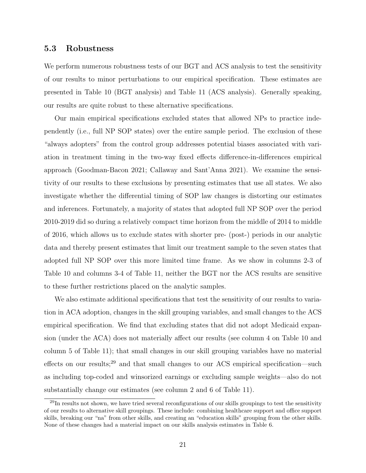#### 5.3 Robustness

We perform numerous robustness tests of our BGT and ACS analysis to test the sensitivity of our results to minor perturbations to our empirical specification. These estimates are presented in Table 10 (BGT analysis) and Table 11 (ACS analysis). Generally speaking, our results are quite robust to these alternative specifications.

Our main empirical specifications excluded states that allowed NPs to practice independently (i.e., full NP SOP states) over the entire sample period. The exclusion of these "always adopters" from the control group addresses potential biases associated with variation in treatment timing in the two-way fixed effects difference-in-differences empirical approach (Goodman-Bacon 2021; Callaway and Sant'Anna 2021). We examine the sensitivity of our results to these exclusions by presenting estimates that use all states. We also investigate whether the differential timing of SOP law changes is distorting our estimates and inferences. Fortunately, a majority of states that adopted full NP SOP over the period 2010-2019 did so during a relatively compact time horizon from the middle of 2014 to middle of 2016, which allows us to exclude states with shorter pre- (post-) periods in our analytic data and thereby present estimates that limit our treatment sample to the seven states that adopted full NP SOP over this more limited time frame. As we show in columns 2-3 of Table 10 and columns 3-4 of Table 11, neither the BGT nor the ACS results are sensitive to these further restrictions placed on the analytic samples.

We also estimate additional specifications that test the sensitivity of our results to variation in ACA adoption, changes in the skill grouping variables, and small changes to the ACS empirical specification. We find that excluding states that did not adopt Medicaid expansion (under the ACA) does not materially affect our results (see column 4 on Table 10 and column 5 of Table 11); that small changes in our skill grouping variables have no material effects on our results;<sup>29</sup> and that small changes to our ACS empirical specification—such as including top-coded and winsorized earnings or excluding sample weights—also do not substantially change our estimates (see column 2 and 6 of Table 11).

<sup>29</sup>In results not shown, we have tried several reconfigurations of our skills groupings to test the sensitivity of our results to alternative skill groupings. These include: combining healthcare support and office support skills, breaking our "na" from other skills, and creating an "education skills" grouping from the other skills. None of these changes had a material impact on our skills analysis estimates in Table 6.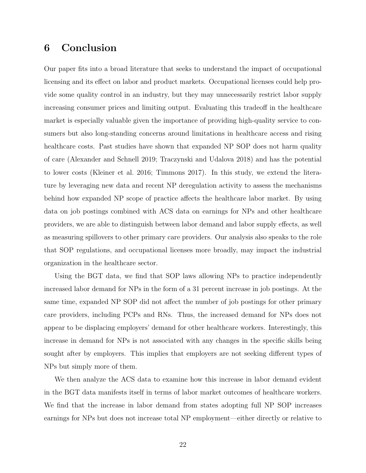### 6 Conclusion

Our paper fits into a broad literature that seeks to understand the impact of occupational licensing and its effect on labor and product markets. Occupational licenses could help provide some quality control in an industry, but they may unnecessarily restrict labor supply increasing consumer prices and limiting output. Evaluating this tradeoff in the healthcare market is especially valuable given the importance of providing high-quality service to consumers but also long-standing concerns around limitations in healthcare access and rising healthcare costs. Past studies have shown that expanded NP SOP does not harm quality of care (Alexander and Schnell 2019; Traczynski and Udalova 2018) and has the potential to lower costs (Kleiner et al. 2016; Timmons 2017). In this study, we extend the literature by leveraging new data and recent NP deregulation activity to assess the mechanisms behind how expanded NP scope of practice affects the healthcare labor market. By using data on job postings combined with ACS data on earnings for NPs and other healthcare providers, we are able to distinguish between labor demand and labor supply effects, as well as measuring spillovers to other primary care providers. Our analysis also speaks to the role that SOP regulations, and occupational licenses more broadly, may impact the industrial organization in the healthcare sector.

Using the BGT data, we find that SOP laws allowing NPs to practice independently increased labor demand for NPs in the form of a 31 percent increase in job postings. At the same time, expanded NP SOP did not affect the number of job postings for other primary care providers, including PCPs and RNs. Thus, the increased demand for NPs does not appear to be displacing employers' demand for other healthcare workers. Interestingly, this increase in demand for NPs is not associated with any changes in the specific skills being sought after by employers. This implies that employers are not seeking different types of NPs but simply more of them.

We then analyze the ACS data to examine how this increase in labor demand evident in the BGT data manifests itself in terms of labor market outcomes of healthcare workers. We find that the increase in labor demand from states adopting full NP SOP increases earnings for NPs but does not increase total NP employment—either directly or relative to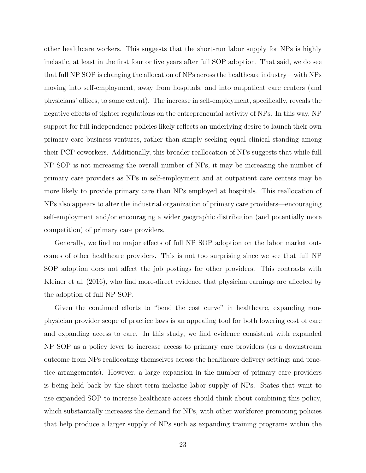other healthcare workers. This suggests that the short-run labor supply for NPs is highly inelastic, at least in the first four or five years after full SOP adoption. That said, we do see that full NP SOP is changing the allocation of NPs across the healthcare industry—with NPs moving into self-employment, away from hospitals, and into outpatient care centers (and physicians' offices, to some extent). The increase in self-employment, specifically, reveals the negative effects of tighter regulations on the entrepreneurial activity of NPs. In this way, NP support for full independence policies likely reflects an underlying desire to launch their own primary care business ventures, rather than simply seeking equal clinical standing among their PCP coworkers. Additionally, this broader reallocation of NPs suggests that while full NP SOP is not increasing the overall number of NPs, it may be increasing the number of primary care providers as NPs in self-employment and at outpatient care centers may be more likely to provide primary care than NPs employed at hospitals. This reallocation of NPs also appears to alter the industrial organization of primary care providers—encouraging self-employment and/or encouraging a wider geographic distribution (and potentially more competition) of primary care providers.

Generally, we find no major effects of full NP SOP adoption on the labor market outcomes of other healthcare providers. This is not too surprising since we see that full NP SOP adoption does not affect the job postings for other providers. This contrasts with Kleiner et al. (2016), who find more-direct evidence that physician earnings are affected by the adoption of full NP SOP.

Given the continued efforts to "bend the cost curve" in healthcare, expanding nonphysician provider scope of practice laws is an appealing tool for both lowering cost of care and expanding access to care. In this study, we find evidence consistent with expanded NP SOP as a policy lever to increase access to primary care providers (as a downstream outcome from NPs reallocating themselves across the healthcare delivery settings and practice arrangements). However, a large expansion in the number of primary care providers is being held back by the short-term inelastic labor supply of NPs. States that want to use expanded SOP to increase healthcare access should think about combining this policy, which substantially increases the demand for NPs, with other workforce promoting policies that help produce a larger supply of NPs such as expanding training programs within the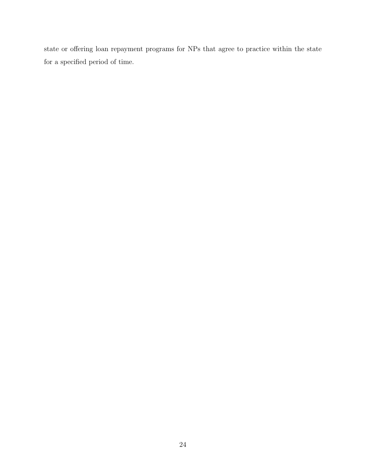state or offering loan repayment programs for NPs that agree to practice within the state for a specified period of time.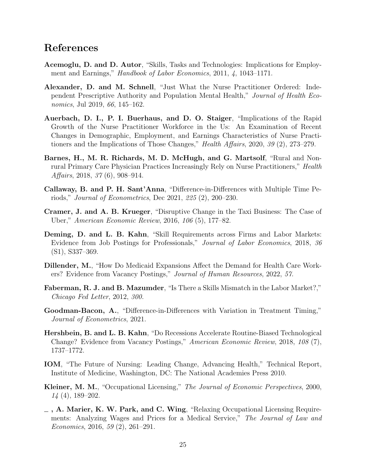### References

- Acemoglu, D. and D. Autor, "Skills, Tasks and Technologies: Implications for Employment and Earnings," *Handbook of Labor Economics*, 2011, 4, 1043–1171.
- Alexander, D. and M. Schnell, "Just What the Nurse Practitioner Ordered: Independent Prescriptive Authority and Population Mental Health," Journal of Health Economics, Jul 2019, 66, 145–162.
- Auerbach, D. I., P. I. Buerhaus, and D. O. Staiger, "Implications of the Rapid Growth of the Nurse Practitioner Workforce in the Us: An Examination of Recent Changes in Demographic, Employment, and Earnings Characteristics of Nurse Practitioners and the Implications of Those Changes," Health Affairs, 2020, 39 (2), 273-279.
- Barnes, H., M. R. Richards, M. D. McHugh, and G. Martsolf, "Rural and Nonrural Primary Care Physician Practices Increasingly Rely on Nurse Practitioners," Health Affairs, 2018, 37 (6), 908–914.
- Callaway, B. and P. H. Sant'Anna, "Difference-in-Differences with Multiple Time Periods," Journal of Econometrics, Dec 2021, 225 (2), 200–230.
- Cramer, J. and A. B. Krueger, "Disruptive Change in the Taxi Business: The Case of Uber," American Economic Review, 2016, 106 (5), 177–82.
- Deming, D. and L. B. Kahn, "Skill Requirements across Firms and Labor Markets: Evidence from Job Postings for Professionals," Journal of Labor Economics, 2018, 36 (S1), S337–369.
- Dillender, M., "How Do Medicaid Expansions Affect the Demand for Health Care Workers? Evidence from Vacancy Postings," Journal of Human Resources, 2022, 57.
- Faberman, R. J. and B. Mazumder, "Is There a Skills Mismatch in the Labor Market?," Chicago Fed Letter, 2012, 300.
- Goodman-Bacon, A., "Difference-in-Differences with Variation in Treatment Timing," Journal of Econometrics, 2021.
- Hershbein, B. and L. B. Kahn, "Do Recessions Accelerate Routine-Biased Technological Change? Evidence from Vacancy Postings," American Economic Review, 2018, 108 (7), 1737–1772.
- IOM, "The Future of Nursing: Leading Change, Advancing Health," Technical Report, Institute of Medicine, Washington, DC: The National Academies Press 2010.
- Kleiner, M. M., "Occupational Licensing," The Journal of Economic Perspectives, 2000, 14 (4), 189–202.
- $_$ , A. Marier, K. W. Park, and C. Wing, "Relaxing Occupational Licensing Requirements: Analyzing Wages and Prices for a Medical Service," The Journal of Law and Economics, 2016, 59 (2), 261–291.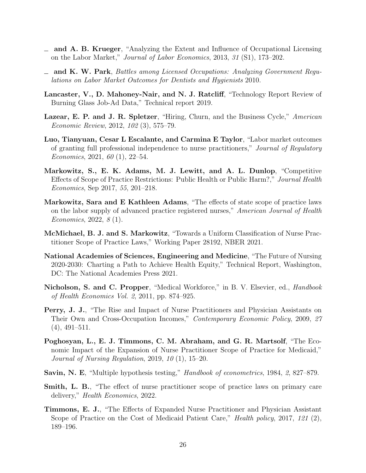- and A. B. Krueger, "Analyzing the Extent and Influence of Occupational Licensing on the Labor Market," Journal of Labor Economics, 2013, 31 (S1), 173–202.
- $\equiv$  and K. W. Park, Battles among Licensed Occupations: Analyzing Government Regulations on Labor Market Outcomes for Dentists and Hygienists 2010.
- Lancaster, V., D. Mahoney-Nair, and N. J. Ratcliff, "Technology Report Review of Burning Glass Job-Ad Data," Technical report 2019.
- Lazear, E. P. and J. R. Spletzer, "Hiring, Churn, and the Business Cycle," American Economic Review, 2012, 102 (3), 575–79.
- Luo, Tianyuan, Cesar L Escalante, and Carmina E Taylor, "Labor market outcomes of granting full professional independence to nurse practitioners," Journal of Regulatory Economics, 2021, 60 (1), 22–54.
- Markowitz, S., E. K. Adams, M. J. Lewitt, and A. L. Dunlop, "Competitive Effects of Scope of Practice Restrictions: Public Health or Public Harm?," Journal Health Economics, Sep 2017, 55, 201–218.
- Markowitz, Sara and E Kathleen Adams, "The effects of state scope of practice laws on the labor supply of advanced practice registered nurses," American Journal of Health Economics, 2022, 8 (1).
- McMichael, B. J. and S. Markowitz, "Towards a Uniform Classification of Nurse Practitioner Scope of Practice Laws," Working Paper 28192, NBER 2021.
- National Academies of Sciences, Engineering and Medicine, "The Future of Nursing 2020-2030: Charting a Path to Achieve Health Equity," Technical Report, Washington, DC: The National Academies Press 2021.
- Nicholson, S. and C. Propper, "Medical Workforce," in B. V. Elsevier, ed., *Handbook* of Health Economics Vol. 2, 2011, pp. 874–925.
- Perry, J. J., "The Rise and Impact of Nurse Practitioners and Physician Assistants on Their Own and Cross-Occupation Incomes," Contemporary Economic Policy, 2009, 27 (4), 491–511.
- Poghosyan, L., E. J. Timmons, C. M. Abraham, and G. R. Martsolf, "The Economic Impact of the Expansion of Nurse Practitioner Scope of Practice for Medicaid," Journal of Nursing Regulation, 2019, 10 (1), 15–20.
- Savin, N. E, "Multiple hypothesis testing," *Handbook of econometrics*, 1984, 2, 827–879.
- **Smith, L. B.**, "The effect of nurse practitioner scope of practice laws on primary care delivery," Health Economics, 2022.
- Timmons, E. J., "The Effects of Expanded Nurse Practitioner and Physician Assistant Scope of Practice on the Cost of Medicaid Patient Care," *Health policy*, 2017, 121 (2), 189–196.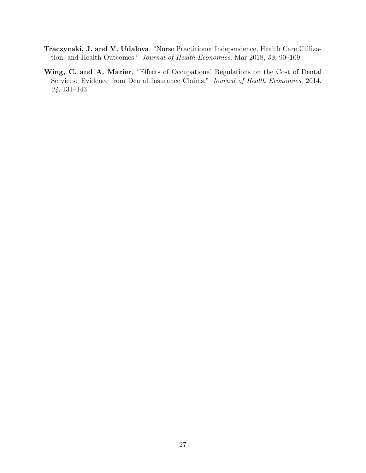- Traczynski, J. and V. Udalova, "Nurse Practitioner Independence, Health Care Utilization, and Health Outcomes," Journal of Health Economics, Mar 2018, 58, 90–109.
- Wing, C. and A. Marier, "Effects of Occupational Regulations on the Cost of Dental Services: Evidence from Dental Insurance Claims," Journal of Health Economics, 2014, 34, 131–143.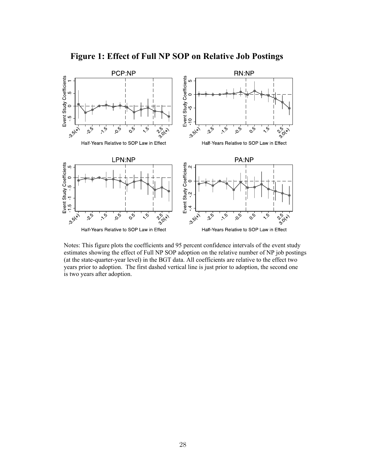

**Figure 1: Effect of Full NP SOP on Relative Job Postings** 

Notes: This figure plots the coefficients and 95 percent confidence intervals of the event study estimates showing the effect of Full NP SOP adoption on the relative number of NP job postings (at the state-quarter-year level) in the BGT data. All coefficients are relative to the effect two years prior to adoption. The first dashed vertical line is just prior to adoption, the second one is two years after adoption.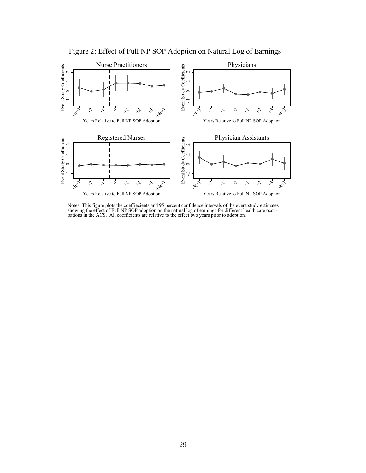

Figure 2: Effect of Full NP SOP Adoption on Natural Log of Earnings

Notes: This figure plots the coeffiecients and 95 percent confidence intervals of the event study estimates showing the effect of Full NP SOP adoption on the natural log of earnings for different health care occupations in the ACS. All coefficients are relative to the effect two years prior to adoption.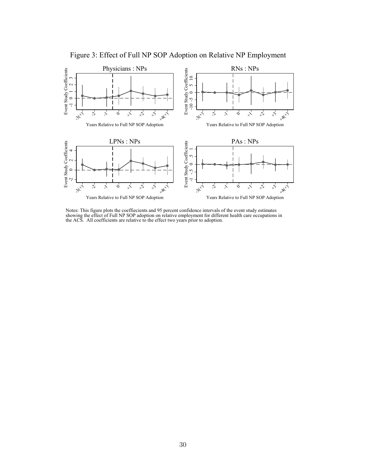

Figure 3: Effect of Full NP SOP Adoption on Relative NP Employment

Notes: This figure plots the coeffiecients and 95 percent confidence intervals of the event study estimates showing the effect of Full NP SOP adoption on relative employment for different health care occupations in the ACS. All coefficients are relative to the effect two years prior to adoption.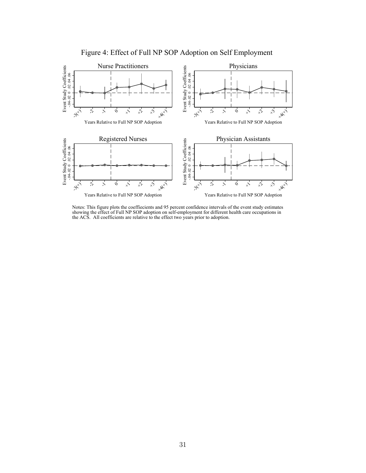

Figure 4: Effect of Full NP SOP Adoption on Self Employment

Notes: This figure plots the coeffiecients and 95 percent confidence intervals of the event study estimates showing the effect of Full NP SOP adoption on self-employment for different health care occupations in the ACS. All coefficients are relative to the effect two years prior to adoption.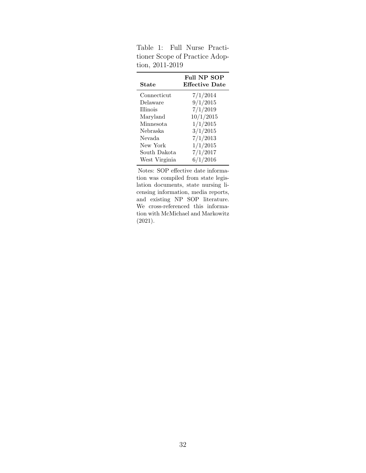| <b>State</b>     | Full NP SOP<br><b>Effective Date</b> |
|------------------|--------------------------------------|
| Connecticut      | 7/1/2014                             |
| Delaware         | 9/1/2015                             |
| <b>Illinois</b>  | 7/1/2019                             |
| Maryland         | 10/1/2015                            |
| <b>Minnesota</b> | 1/1/2015                             |
| Nebraska         | 3/1/2015                             |
| Nevada           | 7/1/2013                             |
| New York         | 1/1/2015                             |
| South Dakota     | 7/1/2017                             |
| West Virginia    | 6/1/2016                             |

Table 1: Full Nurse Practitioner Scope of Practice Adoption, 2011-2019

Notes: SOP effective date information was compiled from state legislation documents, state nursing licensing information, media reports, and existing NP SOP literature. We cross-referenced this information with McMichael and Markowitz (2021).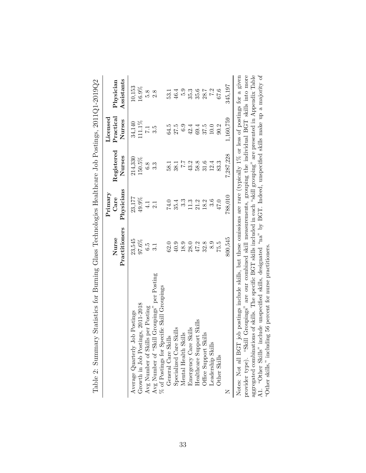| Table 2: Summary Statistics for Burning Glass Technologies Healthcare Job Postings, 2011Q1-2019Q2                                                                                                                                                          |                        |                    |                      |                           |                         |
|------------------------------------------------------------------------------------------------------------------------------------------------------------------------------------------------------------------------------------------------------------|------------------------|--------------------|----------------------|---------------------------|-------------------------|
|                                                                                                                                                                                                                                                            |                        | Primary            |                      | $\rm License$             |                         |
|                                                                                                                                                                                                                                                            | Practitioners<br>Nurse | Physicians<br>Care | Registered<br>Nurses | $\rm Practical$<br>Nurses | Assistants<br>Physician |
| Average Quarterly Job Postings                                                                                                                                                                                                                             | 23,545                 | 23,177             | 214,330              | 34,140                    | 10,153                  |
| Growth in Job Postings, 2011-2018                                                                                                                                                                                                                          | 97.6%                  | 49.9%              | 150.5%               | 111.1%                    | 16.9%                   |
| Avg Number of Skills per Posting                                                                                                                                                                                                                           | $\ddot{c}$             | 4.1                | 6.8                  | $\overline{7.1}$          | 5.8                     |
| $\operatorname{Avg}$ Number of "Skill Groupings" per Posting $\%$ of Postings for Specific Skill Groupings                                                                                                                                                 |                        | 2.1                | 3.3                  | 3.5                       | 2.8                     |
|                                                                                                                                                                                                                                                            |                        |                    |                      |                           |                         |
| General Care Skills                                                                                                                                                                                                                                        | 62.0                   | 74.0               | 58.1                 | 64.5                      | 53.1                    |
| ${\rm Specialized\; Care\; Skills}\\ {\rm Mental\; Health\; Skills}$                                                                                                                                                                                       | $40.9$                 | 35.4               | 38.1                 | 27.5                      | 46.4                    |
|                                                                                                                                                                                                                                                            | 18.9                   | $3.\overline{3}$   | 7.7                  | 6.9                       | 5.9                     |
| Emergency Care Skills                                                                                                                                                                                                                                      | 28.0                   | 11.3               | 43.2                 | 42.4                      | 35.3                    |
| Healthcare Support Skills                                                                                                                                                                                                                                  | 47.2                   | 21.2               | 58.8                 | 69.4                      | 35.6                    |
| Office Support Skills                                                                                                                                                                                                                                      | 32.8                   | 18.2               | 31.6                 | 37.5                      | 28.7                    |
| Leadership Skills                                                                                                                                                                                                                                          | 8.9                    | 3.6                | 12.4                 | $10.0\,$                  | 7.2                     |
| Other Skills                                                                                                                                                                                                                                               | 75.5                   | 47.0               | 83.3                 | 90.2                      | 67.6                    |
|                                                                                                                                                                                                                                                            | 800,545                | 788,010            | 7,287,228            | 1,160,759                 | 345,197                 |
| Notes: Not all BGT job postings include skills, but these omissions are rare (typically 1% or less of postings for a given<br>provider type). "Skill Groupings" are our combined skill measurements, grouping the individual BGT skills into more          |                        |                    |                      |                           |                         |
| aggregated combinations of skills. The specific BGT skills included in each "skill grouping" are presented in Appendix Table<br>include unspecified skills, designated "na" by BGT. Indeed, unspecified skills make up a majority of<br>A1. "Other Skills" |                        |                    |                      |                           |                         |
| "Other skills," including 56 percent for nurse practitioners.                                                                                                                                                                                              |                        |                    |                      |                           |                         |

 $\zeta$ J.  $\ddot{\phantom{0}}$  $\mathsf{C}$ Į. f J. Ě  $\overline{E}$  $\bar{\zeta}$  $\mathsf{C}$  $\epsilon$ Ē  $\zeta$  $\mathsf{C}$  $\frac{1}{1}$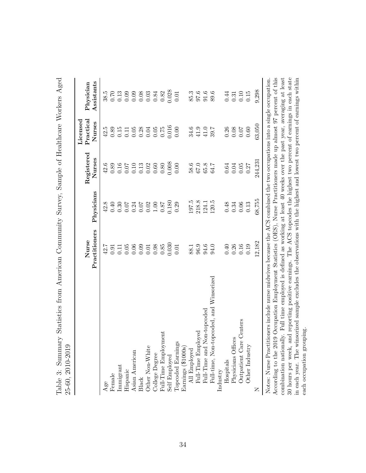|                                                                                                                                                                                                                                                                                                                                                                                                                                                                                                                                                                                                                                    | Practitioners<br>Nurse | Physicians                     | Registered<br>Nurses                                | $\rm Practical$<br>Licensed<br>Nurses                               | Assistants<br>Physician              |
|------------------------------------------------------------------------------------------------------------------------------------------------------------------------------------------------------------------------------------------------------------------------------------------------------------------------------------------------------------------------------------------------------------------------------------------------------------------------------------------------------------------------------------------------------------------------------------------------------------------------------------|------------------------|--------------------------------|-----------------------------------------------------|---------------------------------------------------------------------|--------------------------------------|
| Age                                                                                                                                                                                                                                                                                                                                                                                                                                                                                                                                                                                                                                | 42.7                   | 42.8                           | 42.6                                                | 42.5                                                                | 38.5                                 |
| Female                                                                                                                                                                                                                                                                                                                                                                                                                                                                                                                                                                                                                             | 0.91                   | $0.40\,$                       |                                                     |                                                                     |                                      |
| Immigrant                                                                                                                                                                                                                                                                                                                                                                                                                                                                                                                                                                                                                          | 0.11                   | 0.30                           |                                                     | $0.89$<br>$0.15$                                                    |                                      |
| Hispanic                                                                                                                                                                                                                                                                                                                                                                                                                                                                                                                                                                                                                           | $0.05\,$               | 0.07                           | $\begin{array}{c} 0.89 \\ 0.16 \\ 0.07 \end{array}$ | $\begin{array}{c} 0.11 \\ 0.05 \\ 0.28 \\ 0.05 \\ 0.05 \end{array}$ | $0.7098834$<br>$0.0000000034$        |
| Asian American                                                                                                                                                                                                                                                                                                                                                                                                                                                                                                                                                                                                                     |                        |                                |                                                     |                                                                     |                                      |
| Black                                                                                                                                                                                                                                                                                                                                                                                                                                                                                                                                                                                                                              | $0.06$<br>0.09         |                                |                                                     |                                                                     |                                      |
| Other Non-White                                                                                                                                                                                                                                                                                                                                                                                                                                                                                                                                                                                                                    | $0.01\,$               | $0.34$<br>0.02<br>0.02<br>1.00 | $\begin{array}{c} 0.10 \\ 0.13 \\ 0.02 \end{array}$ |                                                                     |                                      |
| College Degree                                                                                                                                                                                                                                                                                                                                                                                                                                                                                                                                                                                                                     | 0.98                   |                                | $0.60\,$                                            |                                                                     |                                      |
| Full-Time Employment                                                                                                                                                                                                                                                                                                                                                                                                                                                                                                                                                                                                               | 0.85                   | $0.87\,$                       |                                                     | $0.75\,$                                                            | $0.82$<br>$0.028$                    |
| Self Employed                                                                                                                                                                                                                                                                                                                                                                                                                                                                                                                                                                                                                      | 0.030                  | 0.180                          | $0.80$<br>0.008                                     | 0.016                                                               |                                      |
| Topcoded Earnings                                                                                                                                                                                                                                                                                                                                                                                                                                                                                                                                                                                                                  | 0.01                   | 0.29                           | 0.00                                                | 0.00                                                                | 0.01                                 |
| Earnings (\$1000s)                                                                                                                                                                                                                                                                                                                                                                                                                                                                                                                                                                                                                 |                        |                                |                                                     |                                                                     |                                      |
| All Employed                                                                                                                                                                                                                                                                                                                                                                                                                                                                                                                                                                                                                       | 88.1                   | 197.5                          |                                                     | 34.6                                                                |                                      |
| Full-Time Employed                                                                                                                                                                                                                                                                                                                                                                                                                                                                                                                                                                                                                 | 96.9                   | 218.8                          | $\frac{58.6}{67.0}$                                 | $41.9\,$                                                            |                                      |
| Non-topcoded<br>Full-Time and 1                                                                                                                                                                                                                                                                                                                                                                                                                                                                                                                                                                                                    | 94.6                   | 124.1                          | $65.8\,$                                            | 41.0                                                                | $85.3$<br>$97.6$<br>$51.6$<br>$89.6$ |
| Full-time, Non-topcoded, and Winsorized                                                                                                                                                                                                                                                                                                                                                                                                                                                                                                                                                                                            | 94.0                   | 120.5                          | 64.7                                                | 39.7                                                                |                                      |
| Industry                                                                                                                                                                                                                                                                                                                                                                                                                                                                                                                                                                                                                           |                        |                                |                                                     |                                                                     |                                      |
| Hospitals                                                                                                                                                                                                                                                                                                                                                                                                                                                                                                                                                                                                                          | 0.40                   | 0.48                           | 0.64                                                |                                                                     | 0.44                                 |
| Physicians Offices                                                                                                                                                                                                                                                                                                                                                                                                                                                                                                                                                                                                                 | 0.26                   | 0.34                           | 0.04                                                | $\begin{array}{c} 0.26 \\ 0.08 \end{array}$                         | 0.31                                 |
| Outpatient Care Centers                                                                                                                                                                                                                                                                                                                                                                                                                                                                                                                                                                                                            | $0.16\,$               | 0.06                           | 0.05                                                | $0.07$                                                              | 0.10                                 |
| Other Industry                                                                                                                                                                                                                                                                                                                                                                                                                                                                                                                                                                                                                     | 0.19                   | 0.13                           | 0.27                                                | $0.60\,$                                                            | 0.15                                 |
| Z                                                                                                                                                                                                                                                                                                                                                                                                                                                                                                                                                                                                                                  | 12,182                 | 68,755                         | 244,231                                             | 63,050                                                              | 9,298                                |
| According to the 2019 Occupation Employment Statistics (OES), Nurse Practitioners made up almost 97 percent of this<br>30 hours per week, and reporting positive earnings. The ACS topcodes the highest two percent of earnings in each state<br>combination nationally. Full time employed is defined as working at least 40 weeks over the past year, averaging at least<br>in each year. The winsorized sample excludes the observations with the highest and lowest two percent of earnings within<br>Notes: Nurse Practitioners include nurse midwives because the ACS combined the two occupations into a single occupation. |                        |                                |                                                     |                                                                     |                                      |

30 hours per week, and reporting positive earnings. The ACS topcodes the highest two percent of earnings in each state in each year. The winsorized sample excludes the observations with the highest and lowest two percent of earnings within

each occupation grouping.

each occupation grouping.

Table 3: Summary Statistics from American Community Survey, Sample of Healthcare Workers Aged

Table 3: Summary Statistics from American Community Survey, Sample of Healthcare Workers Aged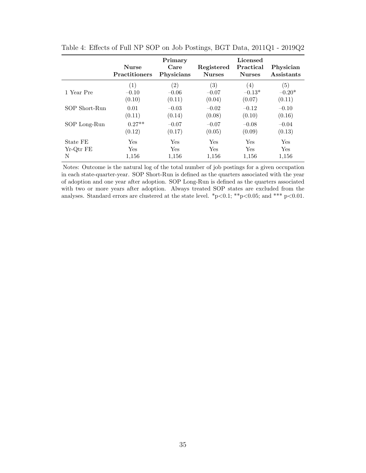|               | <b>Nurse</b><br><b>Practitioners</b> | Primary<br>Care<br>Physicians | Registered<br><b>Nurses</b> | Licensed<br>Practical<br><b>Nurses</b> | Physician<br>Assistants |
|---------------|--------------------------------------|-------------------------------|-----------------------------|----------------------------------------|-------------------------|
| 1 Year Pre    | (1)                                  | (2)                           | (3)                         | (4)                                    | (5)                     |
|               | $-0.10$                              | $-0.06$                       | $-0.07$                     | $-0.13*$                               | $-0.20*$                |
|               | (0.10)                               | (0.11)                        | (0.04)                      | (0.07)                                 | (0.11)                  |
| SOP Short-Run | 0.01                                 | $-0.03$                       | $-0.02$                     | $-0.12$                                | $-0.10$                 |
|               | (0.11)                               | (0.14)                        | (0.08)                      | (0.10)                                 | (0.16)                  |
| SOP Long-Run  | $0.27**$                             | $-0.07$                       | $-0.07$                     | $-0.08$                                | $-0.04$                 |
|               | (0.12)                               | (0.17)                        | (0.05)                      | (0.09)                                 | (0.13)                  |
| State FE      | Yes                                  | Yes                           | Yes                         | Yes                                    | Yes                     |
| Yr-Qtr FE     | Yes                                  | Yes                           | <b>Yes</b>                  | <b>Yes</b>                             | Yes                     |
| N             | 1,156                                | 1,156                         | 1,156                       | 1,156                                  | 1,156                   |

Table 4: Effects of Full NP SOP on Job Postings, BGT Data, 2011Q1 - 2019Q2

Notes: Outcome is the natural log of the total number of job postings for a given occupation in each state-quarter-year. SOP Short-Run is defined as the quarters associated with the year of adoption and one year after adoption. SOP Long-Run is defined as the quarters associated with two or more years after adoption. Always treated SOP states are excluded from the analyses. Standard errors are clustered at the state level. \*p<0.1; \*\*p<0.05; and \*\*\* p<0.01.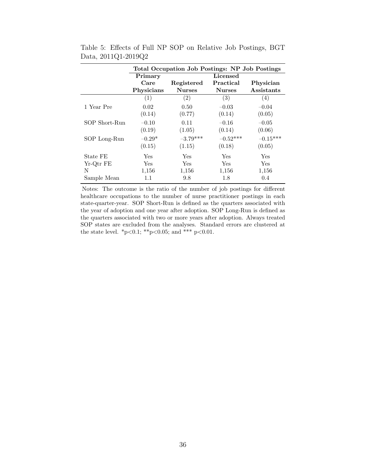|               |                   | Total Occupation Job Postings: NP Job Postings |               |            |
|---------------|-------------------|------------------------------------------------|---------------|------------|
|               | Primary           |                                                | Licensed      |            |
|               | Care              | Registered                                     | Practical     | Physician  |
|               | Physicians        | <b>Nurses</b>                                  | <b>Nurses</b> | Assistants |
|               | $\left( 1\right)$ | $\left( 2\right)$                              | (3)           | (4)        |
| 1 Year Pre    | 0.02              | 0.50                                           | $-0.03$       | $-0.04$    |
|               | (0.14)            | (0.77)                                         | (0.14)        | (0.05)     |
| SOP Short-Run | $-0.10$           | 0.11                                           | $-0.16$       | $-0.05$    |
|               | (0.19)            | (1.05)                                         | (0.14)        | (0.06)     |
| SOP Long-Run  | $-0.29*$          | $-3.79***$                                     | $-0.52***$    | $-0.15***$ |
|               | (0.15)            | (1.15)                                         | (0.18)        | (0.05)     |
| State FE      | Yes               | Yes                                            | Yes           | Yes        |
| Yr-Qtr FE     | Yes               | <b>Yes</b>                                     | <b>Yes</b>    | Yes        |
| N             | 1,156             | 1,156                                          | 1,156         | 1,156      |
| Sample Mean   | 1.1               | 9.8                                            | 1.8           | 0.4        |

Table 5: Effects of Full NP SOP on Relative Job Postings, BGT Data, 2011Q1-2019Q2

Notes: The outcome is the ratio of the number of job postings for different healthcare occupations to the number of nurse practitioner postings in each state-quarter-year. SOP Short-Run is defined as the quarters associated with the year of adoption and one year after adoption. SOP Long-Run is defined as the quarters associated with two or more years after adoption. Always treated SOP states are excluded from the analyses. Standard errors are clustered at the state level. \*p<0.1; \*\*p<0.05; and \*\*\* p<0.01.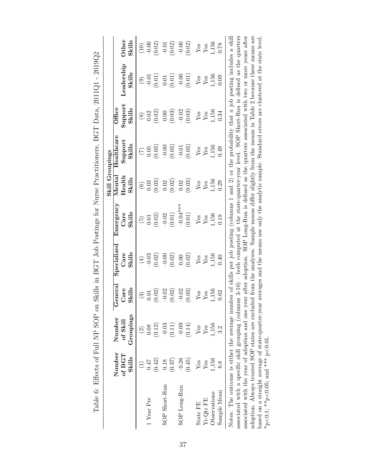|                                                                                                                                                    |                                   |                    |                           |                        |                                                                                                        | Skill Groupings                                   |                        |                           |                |                                        |
|----------------------------------------------------------------------------------------------------------------------------------------------------|-----------------------------------|--------------------|---------------------------|------------------------|--------------------------------------------------------------------------------------------------------|---------------------------------------------------|------------------------|---------------------------|----------------|----------------------------------------|
|                                                                                                                                                    | Number<br>of $\operatorname{BGT}$ | Number<br>of Skill | eneral<br>Care<br>ڻ<br>   | Specialized<br>Care    | Emergency<br>$_{\rm Care}$                                                                             | $\rm Health$<br>$M$ enta $\overline{\phantom{a}}$ | Healthcare<br>Support  | ${\rm Support}$<br>Office | Leadership     | Other                                  |
|                                                                                                                                                    | Skills                            | Groupings          | Skills                    | Skills                 | Skills                                                                                                 | Skills                                            | Skills                 | Skills                    | Skills         | Skills                                 |
|                                                                                                                                                    | $\widehat{\Xi}$                   | $\widehat{c}$      | $\textcircled{\small{3}}$ | $\bigoplus$            | $\widetilde{G}$                                                                                        | $\circledcirc$                                    | $\widetilde{C}$        | $\circledS$               | $\odot$        | (10)                                   |
| Year Pre                                                                                                                                           | <b>170</b>                        | 0.08               | 0.01                      | $-0.03$                | $0.01\,$                                                                                               | 0.03                                              | 0.05                   | 0.02                      | $-0.01$        | $-0.00$                                |
|                                                                                                                                                    | (0.42)                            | (0.12)             | (0.02)                    | (0.02)                 | (0.02)                                                                                                 | (0.03)                                            | (0.03)                 | (0.02)                    | (10.01)        | (0.02)                                 |
| SOP Short-Run                                                                                                                                      | 0.18                              | $-0.03$            | $-0.02$                   | $-0.00$                |                                                                                                        | 0.02                                              | $-0.00$                | $0.00\,$                  | $\rm 0.01$     | $-0.01$                                |
|                                                                                                                                                    | (0.37)                            | (0.11)             | (0.02)                    | (0.02)                 | $-0.02$<br>(0.01)                                                                                      | (0.02)                                            | (0.03)                 | (0.03)                    | (0.01)         | (0.02)                                 |
| SOP Long-Run                                                                                                                                       | $-0.26$                           | $-0.09$            | $-0.02$                   | $0.00\,$               | $-0.04***$                                                                                             | 0.02                                              | $-0.01$                | $-0.02$                   | $-0.00$        | $-0.00$                                |
|                                                                                                                                                    | (0.45)                            | (0.14)             | (0.03)                    | (0.02)                 | (0.01)                                                                                                 | (0.03)                                            | (0.03)                 | (0.03)                    | $(0.01)$       | (0.02)                                 |
| State FE                                                                                                                                           | ${\rm Yes}$                       | Yes                | ${\rm Yes}$               |                        | $Y_{\text{es}}$                                                                                        | ${\rm Yes}$                                       | $_{\rm Yes}^{\rm Yes}$ | ${\rm Yes}$               | ${\rm Yes}$    | ${\rm \widetilde{Y}_{\rm \acute{e}s}}$ |
| $Yr-Qtr$ FE                                                                                                                                        | $\mathbf{Y}\mathbf{es}$           | ${\rm Yes}$        | ${\rm Yes}$               | $_{\rm Yes}^{\rm Yes}$ |                                                                                                        | $\mathbf{Yes}$                                    |                        | Yes                       | $\mathbf{Yes}$ |                                        |
| Observations                                                                                                                                       | 1,156                             | 1,156              | 1,156                     | 1,156                  | 1,156                                                                                                  | 1,156                                             | 1,156                  | 1,156                     | 1,156          | 1,156                                  |
| Sample Mean                                                                                                                                        | 6.8                               |                    | 0.62                      | 0.40                   | 0.18                                                                                                   | 0.29                                              | 0.49                   | 0.34                      | 0.09           | 0.78                                   |
| Notes: The outcome is either the average number of skills per job posting (columns 1 and 2) or the probability that a job posting includes a skill |                                   |                    |                           |                        |                                                                                                        |                                                   |                        |                           |                |                                        |
| associated with a specific skill grouping (columns 3-10) – both computed at the state-quarter-year level. SOP Short-Run is defined as the quarters |                                   |                    |                           |                        |                                                                                                        |                                                   |                        |                           |                |                                        |
| associated with the year of adoption and one year after adoption. SOP Long-Run is defined as the quarters associated with two or more years after  |                                   |                    |                           |                        |                                                                                                        |                                                   |                        |                           |                |                                        |
| adoption. Always treated SOP states are excluded from the analyses. Sample means differ slightly from the means in Table 2 because these means are |                                   |                    |                           |                        |                                                                                                        |                                                   |                        |                           |                |                                        |
| based on a straight average of state-quarter-year                                                                                                  |                                   |                    |                           |                        | averages and the means use only the analytic sample. Standard errors are clustered at the state level. |                                                   |                        |                           |                |                                        |
| *p<0.1; **p<0.05; and *** p<0.01.                                                                                                                  |                                   |                    |                           |                        |                                                                                                        |                                                   |                        |                           |                |                                        |

Table 6: Effects of Full NP SOP on Skills in BGT Job Postings for Nurse Practitioners, BGT Data, 2011Q1 - 2019Q2 Table 6: Effects of Full NP SOP on Skills in BGT Job Postings for Nurse Practitioners, BGT Data, 2011Q1 - 2019Q2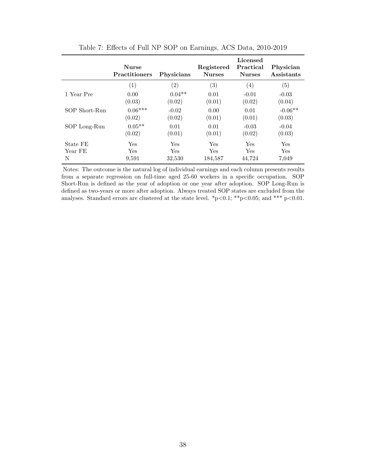|               | <b>Nurse</b><br><b>Practitioners</b> | <b>Physicians</b> | Registered<br><b>Nurses</b> | Licensed<br>Practical<br><b>Nurses</b> | Physician<br>Assistants |
|---------------|--------------------------------------|-------------------|-----------------------------|----------------------------------------|-------------------------|
|               | (1)                                  | $\left( 2\right)$ | $\left( 3\right)$           | $\left( 4\right)$                      | $\left( 5\right)$       |
| 1 Year Pre    | 0.00                                 | $0.04**$          | 0.01                        | $-0.01$                                | $-0.03$                 |
|               | (0.03)                               | (0.02)            | (0.01)                      | (0.02)                                 | (0.04)                  |
| SOP Short-Run | $0.06***$                            | $-0.02$           | 0.00                        | 0.01                                   | $-0.06**$               |
|               | (0.02)                               | (0.02)            | (0.01)                      | (0.01)                                 | (0.03)                  |
| SOP Long-Run  | $0.05**$                             | 0.01              | 0.01                        | $-0.03$                                | $-0.04$                 |
|               | (0.02)                               | (0.01)            | (0.01)                      | (0.02)                                 | (0.03)                  |
| State FE      | Yes                                  | Yes               | Yes                         | Yes                                    | Yes                     |
| Year FE       | <b>Yes</b>                           | Yes               | <b>Yes</b>                  | Yes                                    | <b>Yes</b>              |
| N             | 9,591                                | 32,530            | 184,587                     | 44,724                                 | 7,049                   |

Table 7: Effects of Full NP SOP on Earnings, ACS Data, 2010-2019

Notes: The outcome is the natural log of individual earnings and each column presents results from a separate regression on full-time aged 25-60 workers in a specific occupation. SOP Short-Run is defined as the year of adoption or one year after adoption. SOP Long-Run is defined as two-years or more after adoption. Always treated SOP states are excluded from the analyses. Standard errors are clustered at the state level. \*p<0.1; \*\*p<0.05; and \*\*\* p<0.01.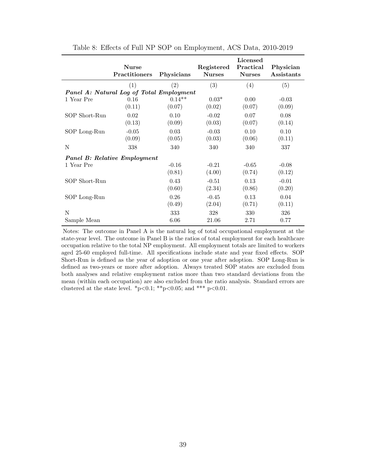|               | <b>Nurse</b><br>Practitioners            | Physicians | Registered<br><b>Nurses</b> | Licensed<br>Practical<br><b>Nurses</b> | Physician<br>Assistants |
|---------------|------------------------------------------|------------|-----------------------------|----------------------------------------|-------------------------|
|               | (1)                                      | (2)        | (3)                         | (4)                                    | (5)                     |
|               | Panel A: Natural Log of Total Employment |            |                             |                                        |                         |
| 1 Year Pre    | 0.16                                     | $0.14**$   | $0.03*$                     | 0.00                                   | $-0.03$                 |
|               | (0.11)                                   | (0.07)     | (0.02)                      | (0.07)                                 | (0.09)                  |
| SOP Short-Run | 0.02                                     | 0.10       | $-0.02$                     | 0.07                                   | 0.08                    |
|               | (0.13)                                   | (0.09)     | (0.03)                      | (0.07)                                 | (0.14)                  |
| SOP Long-Run  | $-0.05$                                  | 0.03       | $-0.03$                     | 0.10                                   | 0.10                    |
|               | (0.09)                                   | (0.05)     | (0.03)                      | (0.06)                                 | (0.11)                  |
| N             | 338                                      | 340        | 340                         | 340                                    | 337                     |
|               | <b>Panel B: Relative Employment</b>      |            |                             |                                        |                         |
| 1 Year Pre    |                                          | $-0.16$    | $-0.21$                     | $-0.65$                                | $-0.08$                 |
|               |                                          | (0.81)     | (4.00)                      | (0.74)                                 | (0.12)                  |
| SOP Short-Run |                                          | 0.43       | $-0.51$                     | 0.13                                   | $-0.01$                 |
|               |                                          | (0.60)     | (2.34)                      | (0.86)                                 | (0.20)                  |
| SOP Long-Run  |                                          | 0.26       | $-0.45$                     | 0.13                                   | 0.04                    |
|               |                                          | (0.49)     | (2.04)                      | (0.71)                                 | (0.11)                  |
| N             |                                          | 333        | 328                         | 330                                    | 326                     |
| Sample Mean   |                                          | 6.06       | 21.06                       | 2.71                                   | 0.77                    |

Table 8: Effects of Full NP SOP on Employment, ACS Data, 2010-2019

Notes: The outcome in Panel A is the natural log of total occupational employment at the state-year level. The outcome in Panel B is the ratios of total employment for each healthcare occupation relative to the total NP employment. All employment totals are limited to workers aged 25-60 employed full-time. All specifications include state and year fixed effects. SOP Short-Run is defined as the year of adoption or one year after adoption. SOP Long-Run is defined as two-years or more after adoption. Always treated SOP states are excluded from both analyses and relative employment ratios more than two standard deviations from the mean (within each occupation) are also excluded from the ratio analysis. Standard errors are clustered at the state level. \*p<0.1; \*\*p<0.05; and \*\*\* p<0.01.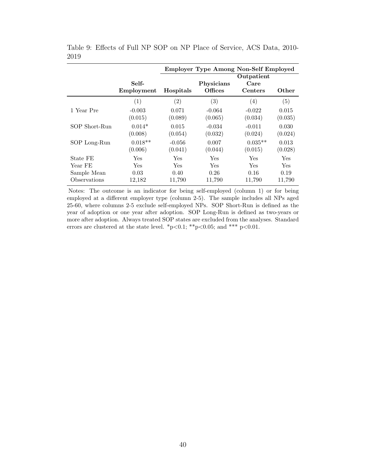|               |            |                   | <b>Employer Type Among Non-Self Employed</b> |            |            |
|---------------|------------|-------------------|----------------------------------------------|------------|------------|
|               |            |                   |                                              | Outpatient |            |
|               | Self-      |                   | Physicians                                   | Care       |            |
|               | Employment | Hospitals         | Offices                                      | Centers    | Other      |
|               | (1)        | $\left( 2\right)$ | $\left( 3\right)$                            | (4)        | (5)        |
| 1 Year Pre    | $-0.003$   | 0.071             | $-0.064$                                     | $-0.022$   | 0.015      |
|               | (0.015)    | (0.089)           | (0.065)                                      | (0.034)    | (0.035)    |
| SOP Short-Run | $0.014*$   | 0.015             | $-0.034$                                     | $-0.011$   | 0.030      |
|               | (0.008)    | (0.054)           | (0.032)                                      | (0.024)    | (0.024)    |
| SOP Long-Run  | $0.018**$  | $-0.056$          | 0.007                                        | $0.035**$  | 0.013      |
|               | (0.006)    | (0.041)           | (0.044)                                      | (0.015)    | (0.028)    |
| State FE      | Yes        | Yes               | Yes                                          | Yes        | <b>Yes</b> |
| Year FE       | Yes        | Yes               | Yes                                          | Yes        | Yes        |
| Sample Mean   | 0.03       | 0.40              | 0.26                                         | 0.16       | 0.19       |
| Observations  | 12,182     | 11,790            | 11,790                                       | 11,790     | 11,790     |

Table 9: Effects of Full NP SOP on NP Place of Service, ACS Data, 2010- 2019

Notes: The outcome is an indicator for being self-employed (column 1) or for being employed at a different employer type (column 2-5). The sample includes all NPs aged 25-60, where columns 2-5 exclude self-employed NPs. SOP Short-Run is defined as the year of adoption or one year after adoption. SOP Long-Run is defined as two-years or more after adoption. Always treated SOP states are excluded from the analyses. Standard errors are clustered at the state level. \*p<0.1; \*\*p<0.05; and \*\*\* p<0.01.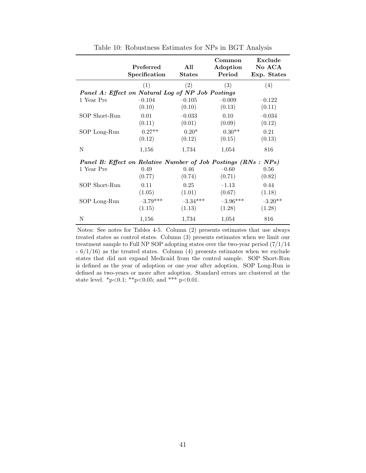|               | Preferred<br>Specification                                    | All<br><b>States</b> | Common<br>Adoption<br>Period | Exclude<br>No ACA<br>Exp. States |
|---------------|---------------------------------------------------------------|----------------------|------------------------------|----------------------------------|
|               | (1)                                                           | (2)                  | (3)                          | (4)                              |
|               | Panel A: Effect on Natural Log of NP Job Postings             |                      |                              |                                  |
| 1 Year Pre    | $-0.104$                                                      | $-0.105$             | $-0.009$                     | $-0.122$                         |
|               | (0.10)                                                        | (0.10)               | (0.13)                       | (0.11)                           |
| SOP Short-Run | 0.01                                                          | $-0.033$             | 0.10                         | $-0.034$                         |
|               | (0.11)                                                        | (0.01)               | (0.09)                       | (0.12)                           |
| SOP Long-Run  | $0.27**$                                                      | $0.20*$              | $0.30**$                     | 0.21                             |
|               | (0.12)                                                        | (0.12)               | (0.15)                       | (0.13)                           |
| N             | 1,156                                                         | 1,734                | 1,054                        | 816                              |
|               | Panel B: Effect on Relative Number of Job Postings (RNs: NPs) |                      |                              |                                  |
| 1 Year Pre    | 0.49                                                          | 0.46                 | $-0.60$                      | 0.56                             |
|               | (0.77)                                                        | (0.74)               | (0.71)                       | (0.82)                           |
| SOP Short-Run | 0.11                                                          | 0.25                 | $-1.13$                      | 0.44                             |
|               | (1.05)                                                        | (1.01)               | (0.67)                       | (1.18)                           |
| SOP Long-Run  | $-3.79***$                                                    | $-3.34***$           | $-3.96***$                   | $-3.20**$                        |
|               | (1.15)                                                        | (1.13)               | (1.28)                       | (1.28)                           |
| N             | 1,156                                                         | 1,734                | 1,054                        | 816                              |

Table 10: Robustness Estimates for NPs in BGT Analysis

Notes: See notes for Tables 4-5. Column (2) presents estimates that use always treated states as control states. Column (3) presents estimates when we limit our treatment sample to Full NP SOP adopting states over the two-year period (7/1/14  $-6/1/16$ ) as the treated states. Column (4) presents estimates when we exclude states that did not expand Medicaid from the control sample. SOP Short-Run is defined as the year of adoption or one year after adoption. SOP Long-Run is defined as two-years or more after adoption. Standard errors are clustered at the state level.  $*_{p<0.1}$ ;  $*_{p<0.05}$ ; and  $*_{p<0.01}$ .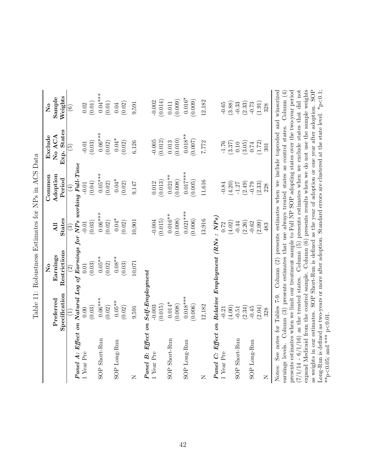|                                                                                                               |                          | $\overline{\mathsf{z}}$                                                                         |                | Common          | Exclude                | $\overline{\mathsf{z}}$ |
|---------------------------------------------------------------------------------------------------------------|--------------------------|-------------------------------------------------------------------------------------------------|----------------|-----------------|------------------------|-------------------------|
|                                                                                                               | Preferred                | Earnings                                                                                        | $\overline{A}$ | Adoption        | No ACA                 | Sample                  |
|                                                                                                               | Specification            | Restrictions                                                                                    | <b>States</b>  | Period          | Exp. States            | Weights                 |
|                                                                                                               | $\widehat{\Xi}$          | $\widehat{\Omega}$                                                                              | ව              | $\widehat{\pm}$ | $\widehat{\mathbf{b}}$ | $\widehat{\mathbf{e}}$  |
| Panel A: Effect on Natural Log of Earnings for NPs working Full-Time                                          |                          |                                                                                                 |                |                 |                        |                         |
| 1 Year Pre                                                                                                    | 0.00                     | 0.01                                                                                            | $-0.01$        | $-0.01$         | $-0.01$                |                         |
|                                                                                                               | (0.03)                   | (0.03)                                                                                          | (0.03)         | (0.04)          | (0.03)                 | (0.02)                  |
| SOP Short-Run                                                                                                 | $0.06***$                | $0.05**$                                                                                        | $0.06***$      | $0.05***$       | $0.06***$              | $0.04***$               |
|                                                                                                               | (0.02)                   | (0.02)                                                                                          | (0.02)         | (0.02)          | (0.02)                 | (0.01)                  |
| SOP Long-Run                                                                                                  | $0.05**$                 | $0.08***$                                                                                       | $0.04*$        | $0.04*$         | $0.04*$                | $0.04\,$                |
|                                                                                                               | (0.02)                   | (0.03)                                                                                          | (0.02)         | (0.02)          | (0.02)                 | (0.02)                  |
| $\overline{z}$                                                                                                | 9,591                    | 10,071                                                                                          | 10,901         | 9,147           | 6,126                  | 9,591                   |
| Panel B: Effect on                                                                                            | $Self\text{-}Emplogment$ |                                                                                                 |                |                 |                        |                         |
| 1 Year Pre                                                                                                    | $-0.003$                 |                                                                                                 | $-0.004$       | 0.012           | $-0.005$               | $-0.002$                |
|                                                                                                               | (0.015)                  |                                                                                                 | (0.015)        | (0.013)         | (0.012)                | (0.014)                 |
| SOP Short-Run                                                                                                 | $0.014*$                 |                                                                                                 | $0.016**$      | $0.021***$      | 0.013                  | 0.011                   |
|                                                                                                               | (0.008)                  |                                                                                                 | (0.008)        | (0.008)         | (0.010)                | (0.009)                 |
| $SOP$ Long-Run                                                                                                | $0.018***$               |                                                                                                 | $0.021***$     | $0.017***$      | $0.018**$              | $0.016*$                |
|                                                                                                               | (0.006)                  |                                                                                                 | (0.006)        | (0.005)         | (0.007)                | (0.009)                 |
| $\overline{z}$                                                                                                | 12,182                   |                                                                                                 | 13,916         | 11,616          | 7,772                  | 12,182                  |
| $Panel$ C: Effect on Relative Employment $(RNs : NPs)$                                                        |                          |                                                                                                 |                |                 |                        |                         |
| 1 Year Pre                                                                                                    | $-0.21$                  |                                                                                                 | 0.72           | $-0.84$         | $-1.76$                | $-0.65$                 |
|                                                                                                               | (4.00)                   |                                                                                                 | (4.02)         | (4.20)          | (3.37)                 | (3.88)                  |
| SOP Short-Run                                                                                                 | $-0.51$                  |                                                                                                 | $-0.44$        | $-1.27$         | 0.10                   | $-0.33$                 |
|                                                                                                               | (2.34)                   |                                                                                                 | (2.26)         | (2.49)          | (3.05)                 | (2.33)                  |
| SOP Long-Run                                                                                                  | $-0.45$                  |                                                                                                 | $-0.62$        | $-0.79$         | $0.74\,$               | $-0.73$                 |
|                                                                                                               | (2.04)                   |                                                                                                 | (2.09)         | (2.33)          | (1.72)                 | (1.91)                  |
| Z                                                                                                             | 328                      |                                                                                                 | 483            | 228             | 301                    | 328                     |
| Notes:                                                                                                        |                          | See notes for Tables 7-9. Column (2) presents estimates when we include topcoded and winsorized |                |                 |                        |                         |
| earnings levels. Column (3) presents estimates that use always treated states as control states.              |                          |                                                                                                 |                |                 |                        | Column $(4)$            |
| presents estimates when we limit our treatment sample to Full NP SOP adopting states over the two-year period |                          |                                                                                                 |                |                 |                        |                         |

presents estimates when we limit our treatment sample to Full NP SOP adopting states over the two-year period  $(7/1/14 - 6/1/16)$  as the treated states. Column (5) presents estimates when we exclude states that did not expand Medicaid from the control sample. Column (6) presents results when we do not use the sample weights as weights in our estimates. SOP Short-Run is defined as the year of adoption or one year after adoption. SOP Long-Run is defined as two-years or more after adoption. Standard errors are clustered at the state level.  $*_{P}$ <0.1;

 $(7/1/14 - 6/1/16)$  as the treated states. Column (5) presents estimates when we exclude states that did not expand Medicaid from the control sample. Column  $(6)$  presents results when we do not use the sample weights as weights in our estimates. SOP Short-Run is defined as the year of adoption or one year after adoption. SOP Long-Run is defined as two-years or more after adoption. Standard errors are clustered at the state level.  $*_{P} < 0.1$ ;

 $*$   $p$  < 0.05; and  $*$   $*$   $p$  < 0.01.

\*\*p<0.05; and \*\*\* p<0.01.

Table 11: Robustness Estimates for NPs in ACS Data Table 11: Robustness Estimates for NPs in ACS Data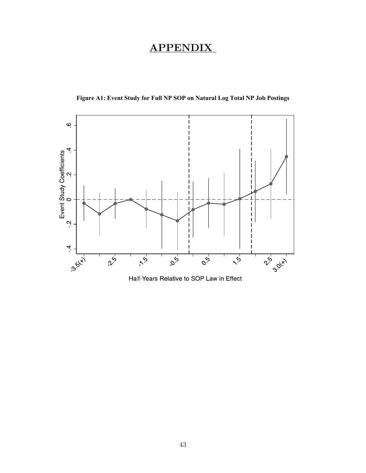# APPENDIX

 **Figure A1: Event Study for Full NP SOP on Natural Log Total NP Job Postings** 



Half-Years Relative to SOP Law in Effect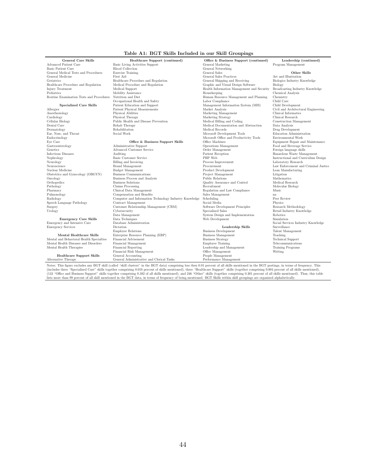#### Table A1: BGT Skills Included in our Skill Groupings

| <b>General Care Skills</b>               | Healthcare Support (continued)                         | Office & Business Support (continued)      | Leadership (continued)                       |
|------------------------------------------|--------------------------------------------------------|--------------------------------------------|----------------------------------------------|
| Advanced Patient Care                    | Basic Living Activities Support                        | General Marketing                          | Program Management                           |
| <b>Basic Patient Care</b>                | <b>Blood Collection</b>                                | General Networking                         |                                              |
| General Medical Tests and Procedures     | <b>Exercise Training</b>                               | General Sales                              | Other Skills                                 |
| General Medicine                         | First Aid                                              | General Sales Practices                    | Art and Illustration                         |
| Geriatrics                               | Healthcare Procedure and Regulation                    | General Shipping and Receiving             | Biologics Industry Knowledge                 |
| Healthcare Procedure and Regulation      | Medical Procedure and Regulation                       | Graphic and Visual Design Software         | Biology                                      |
| Injury Treatment                         | Medical Support                                        | Health Information Management and Security | Broadcasting Industry Knowledge              |
| Pediatrics                               | Mobility Assistance                                    | Housekeeping                               | Chemical Analysis                            |
| Routine Examination Tests and Procedures | Nutrition and Diet                                     | Human Resource Management and Planning     | Chemistry                                    |
|                                          | Occupational Health and Safety                         | Labor Compliance                           | Child Care                                   |
| Specialized Care Skills                  | Patient Education and Support                          | Management Information System (MIS)        | Child Development                            |
| Allergies                                | Patient Physical Measurements                          | Market Analysis                            | Civil and Architectural Engineering          |
| Anesthesiology                           | Physical Abilities                                     | Marketing Management                       | Clinical Informatics                         |
| Cardiology                               | Physical Therapy                                       | Marketing Strategy                         | Clinical Research                            |
| Cellular Biology                         | Public Health and Disease Prevention                   | Medical Billing and Coding                 | Construction Management                      |
| Dental Care                              | Rehab Therapy                                          | Medical Documentation and Abstraction      |                                              |
|                                          |                                                        |                                            | Data Analysis                                |
| Dermatology                              | Rehabilitation<br>Social Work                          | Medical Records                            | Drug Development<br>Education Administration |
| Ear, Nose, and Throat                    |                                                        | Microsoft Development Tools                |                                              |
| Endocrinology                            |                                                        | Microsoft Office and Productivity Tools    | Environmental Work                           |
| Eye Care                                 | Office & Business Support Skills                       | Office Machines                            | Equipment Repair and Maintenance             |
| Gastroenterology                         | Administrative Support                                 | Operations Management                      | Food and Beverage Service                    |
| Genetics                                 | Advanced Customer Service                              | Order Management                           | Foreign language skills                      |
| Infectious Diseases                      | Auditing                                               | Patient Reception                          | Hazardous Waste Management                   |
| Nephrology                               | <b>Basic Customer Service</b>                          | PHP Web                                    | Instructional and Curriculum Design          |
| Neurology                                | Billing and Invoicing                                  | Process Improvement                        | Laboratory Research                          |
| Neuroscience                             | <b>Brand Management</b>                                | Procurement                                | Law Enforcement and Criminal Justice         |
| Nuclear Medicine                         | <b>Budget Management</b>                               | Product Development                        | Lean Manufacturing                           |
| Obstetrics and Gynecology (OBGYN)        | <b>Business Communications</b>                         | Project Management                         | Litigation                                   |
| Oncology                                 | Business Process and Analysis                          | Public Relations                           | Mathematics                                  |
| Orthopedics                              | <b>Business Solutions</b>                              | Quality Assurance and Control              | Medical Research                             |
| Pathology                                | Claims Processing                                      | Recruitment                                | Molecular Biology                            |
| Pharmacy                                 | Clinical Data Management                               | Regulation and Law Compliance              | Music                                        |
| Pulmonology                              | Compensation and Benefits                              | Sales Management                           | na                                           |
| Radiology                                | Computer and Information Technology Industry Knowledge | Scheduling                                 | Peer Review                                  |
| Speech Language Pathology                | Contract Management                                    | Social Media                               | Physics                                      |
| Surgery                                  | Customer Relationship Management (CRM)                 | Software Development Principles            | Research Methodology                         |
| Urology                                  | Cybersecurity                                          | Specialized Sales                          | Retail Industry Knowledge                    |
|                                          | Data Management                                        | System Design and Implementation           | Robotics                                     |
| <b>Emergency Care Skills</b>             | Data Techniques                                        | Web Development                            | Simulation                                   |
| Emergency and Intensive Care             | Database Administration                                |                                            | Social Services Industry Knowledge           |
| <b>Emergency Services</b>                | Dictation                                              | Leadership Skills                          | Surveillance                                 |
|                                          | Employee Relations                                     | <b>Business Development</b>                | Talent Management                            |
| Mental Healthcare Skills                 | Enterprise Resource Planning (ERP)                     | <b>Business Management</b>                 | Teaching                                     |
| Mental and Behavioral Health Specialties | Financial Advisement                                   | <b>Business Strategy</b>                   | <b>Technical Support</b>                     |
| Mental Health Diseases and Disorders     | Financial Management                                   | <b>Employee Training</b>                   | Telecommunications                           |
| Mental Health Therapies                  | Financial Reporting                                    | Leadership and Management                  | <b>Training Programs</b>                     |
|                                          | Financial Risk Management                              | Office Management                          | Writing                                      |
| <b>Healthcare Support Skills</b>         | General Accounting                                     | People Management                          |                                              |
| Alternative Therapy                      | General Administrative and Clerical Tasks              | Performance Management                     |                                              |

Notes: This figure excludes any BGT skill (called "skill clusters" in the BGT data) comprising less then 0.01 percent of all skills mentioned in the BGT postings, in terms of frequency. This (includes three "Specialized Ca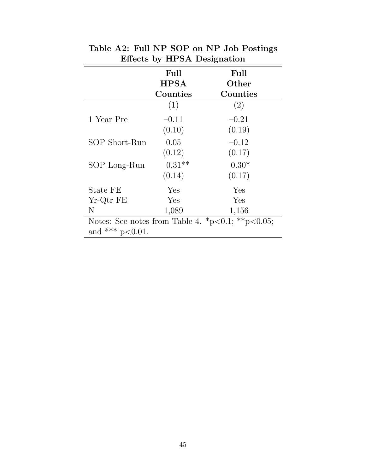|               | Full<br><b>HPSA</b> | Full<br>Other |  |  |
|---------------|---------------------|---------------|--|--|
|               | Counties            | Counties      |  |  |
|               | (1)                 | (2)           |  |  |
| 1 Year Pre    | $-0.11$             | $-0.21$       |  |  |
|               | (0.10)              | (0.19)        |  |  |
| SOP Short-Run | 0.05                | $-0.12$       |  |  |
|               | (0.12)              | (0.17)        |  |  |
| SOP Long-Run  | $0.31**$            | $0.30*$       |  |  |
|               | (0.14)              | (0.17)        |  |  |
| State FE      | Yes                 | Yes           |  |  |
| Yr-Qtr FE     | Yes                 | Yes           |  |  |
| N             | 1,089               | 1,156         |  |  |

Table A2: Full NP SOP on NP Job Postings Effects by HPSA Designation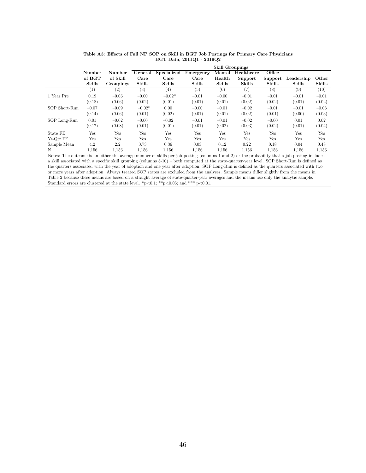|               |                  |           | <b>Skill Groupings</b> |               |               |               |               |               |               |               |
|---------------|------------------|-----------|------------------------|---------------|---------------|---------------|---------------|---------------|---------------|---------------|
|               | Number           | Number    | General                | Specialized   | Emergency     | Mental        | Healthcare    | Office        |               |               |
|               | of BGT           | of Skill  | Care                   | Care          | Care          | Health        | Support       | Support       | Leadership    | Other         |
|               | <b>Skills</b>    | Groupings | <b>Skills</b>          | <b>Skills</b> | <b>Skills</b> | <b>Skills</b> | <b>Skills</b> | <b>Skills</b> | <b>Skills</b> | <b>Skills</b> |
|               | $\left(1\right)$ | (2)       | (3)                    | (4)           | (5)           | (6)           | (7)           | (8)           | (9)           | (10)          |
| 1 Year Pre    | 0.19             | $-0.06$   | $-0.00$                | $-0.02*$      | $-0.01$       | $-0.00$       | $-0.01$       | $-0.01$       | $-0.01$       | $-0.01$       |
|               | (0.18)           | (0.06)    | (0.02)                 | (0.01)        | (0.01)        | (0.01)        | (0.02)        | (0.02)        | (0.01)        | (0.02)        |
| SOP Short-Run | $-0.07$          | $-0.09$   | $-0.02*$               | 0.00          | $-0.00$       | $-0.01$       | $-0.02$       | $-0.01$       | $-0.01$       | $-0.03$       |
|               | (0.14)           | (0.06)    | (0.01)                 | (0.02)        | (0.01)        | (0.01)        | (0.02)        | (0.01)        | (0.00)        | (0.03)        |
| SOP Long-Run  | 0.01             | $-0.02$   | $-0.00$                | $-0.02$       | $-0.01$       | $-0.01$       | $-0.02$       | $-0.00$       | 0.01          | 0.02          |
|               | (0.17)           | (0.08)    | (0.01)                 | (0.01)        | (0.01)        | (0.02)        | (0.03)        | (0.02)        | (0.01)        | (0.04)        |
| State FE      | Yes              | Yes       | Yes                    | Yes           | Yes           | Yes           | Yes           | Yes           | Yes           | Yes           |
| Yr-Otr FE     | Yes              | Yes       | Yes                    | Yes           | Yes           | Yes           | Yes           | Yes           | Yes           | Yes           |
| Sample Mean   | 4.2              | $2.2\,$   | 0.73                   | 0.36          | 0.03          | 0.12          | 0.22          | 0.18          | 0.04          | 0.48          |
| N             | 1.156            | 1,156     | 1,156                  | 1,156         | 1.156         | 1,156         | 1,156         | 1,156         | 1,156         | 1,156         |

| Table A3: Effects of Full NP SOP on Skill in BGT Job Postings for Primary Care Physicians |  |                           |  |  |
|-------------------------------------------------------------------------------------------|--|---------------------------|--|--|
|                                                                                           |  | BGT Data, 2011Q1 - 2019Q2 |  |  |

Notes: The outcome is an either the average number of skills per job posting (columns 1 and 2) or the probability that a job posting includes a skill associated with a specific skill grouping (columns 3-10) – both computed at the state-quarter-year level. SOP Short-Run is defined as the quarters associated with the year of adoption and one year after adoption. SOP Long-Run is defined as the quarters associated with two or more years after adoption. Always treated SOP states are excluded from the analyses. Sample means differ slightly from the means in Table 2 because these means are based on a straight average of state-quarter-year averages and the means use only the analytic sample. Standard errors are clustered at the state level.  $\binom{p}{p}<0.1$ ;  $\binom{p}{q}$ ,  $\binom{p}{q}$ , and  $\binom{p}{q}$ ,  $\binom{p}{q}$ ,  $\binom{p}{q}$